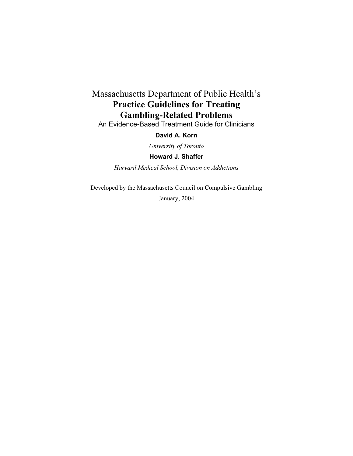# Massachusetts Department of Public Health's **Practice Guidelines for Treating Gambling-Related Problems**

An Evidence-Based Treatment Guide for Clinicians

### **David A. Korn**

*University of Toronto* 

**Howard J. Shaffer** 

*Harvard Medical School, Division on Addictions*

Developed by the Massachusetts Council on Compulsive Gambling

January, 2004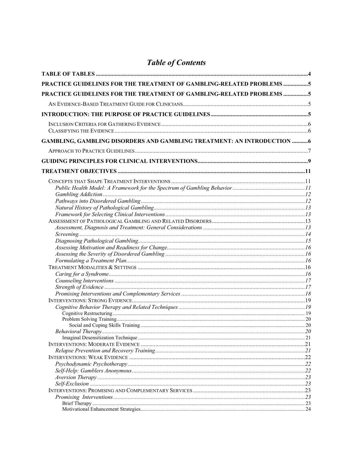# **Table of Contents**

| PRACTICE GUIDELINES FOR THE TREATMENT OF GAMBLING-RELATED PROBLEMS 5   |  |
|------------------------------------------------------------------------|--|
| PRACTICE GUIDELINES FOR THE TREATMENT OF GAMBLING-RELATED PROBLEMS 5   |  |
|                                                                        |  |
|                                                                        |  |
|                                                                        |  |
|                                                                        |  |
| GAMBLING, GAMBLING DISORDERS AND GAMBLING TREATMENT: AN INTRODUCTION 6 |  |
|                                                                        |  |
|                                                                        |  |
|                                                                        |  |
|                                                                        |  |
|                                                                        |  |
|                                                                        |  |
|                                                                        |  |
|                                                                        |  |
|                                                                        |  |
|                                                                        |  |
|                                                                        |  |
|                                                                        |  |
|                                                                        |  |
|                                                                        |  |
|                                                                        |  |
|                                                                        |  |
|                                                                        |  |
|                                                                        |  |
|                                                                        |  |
|                                                                        |  |
|                                                                        |  |
|                                                                        |  |
|                                                                        |  |
|                                                                        |  |
|                                                                        |  |
|                                                                        |  |
|                                                                        |  |
|                                                                        |  |
|                                                                        |  |
|                                                                        |  |
|                                                                        |  |
|                                                                        |  |
|                                                                        |  |
|                                                                        |  |
|                                                                        |  |
|                                                                        |  |
|                                                                        |  |
|                                                                        |  |
|                                                                        |  |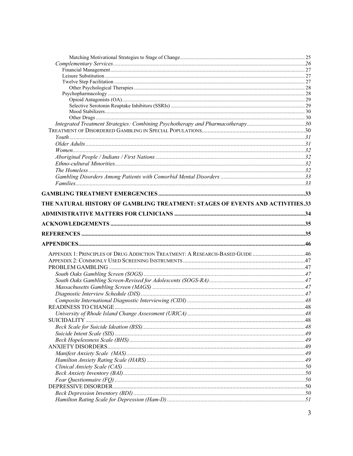| Integrated Treatment Strategies: Combining Psychotherapy and Pharmacotherapy30 |  |
|--------------------------------------------------------------------------------|--|
|                                                                                |  |
|                                                                                |  |
|                                                                                |  |
|                                                                                |  |
|                                                                                |  |
|                                                                                |  |
|                                                                                |  |
|                                                                                |  |
|                                                                                |  |
|                                                                                |  |
|                                                                                |  |
| THE NATURAL HISTORY OF GAMBLING TREATMENT: STAGES OF EVENTS AND ACTIVITIES.33  |  |
|                                                                                |  |
|                                                                                |  |
|                                                                                |  |
|                                                                                |  |
|                                                                                |  |
| APPENDIX 1: PRINCIPLES OF DRUG ADDICTION TREATMENT: A RESEARCH-BASED GUIDE 46  |  |
|                                                                                |  |
|                                                                                |  |
|                                                                                |  |
|                                                                                |  |
|                                                                                |  |
|                                                                                |  |
|                                                                                |  |
|                                                                                |  |
|                                                                                |  |
|                                                                                |  |
|                                                                                |  |
| SUICIDALITY                                                                    |  |
|                                                                                |  |
|                                                                                |  |
|                                                                                |  |
|                                                                                |  |
|                                                                                |  |
|                                                                                |  |
|                                                                                |  |
|                                                                                |  |
|                                                                                |  |
|                                                                                |  |
|                                                                                |  |
|                                                                                |  |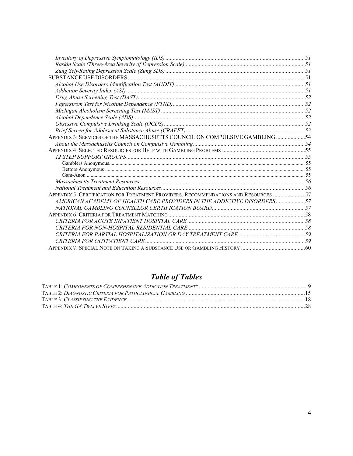| APPENDIX 3: SERVICES OF THE MASSACHUSETTS COUNCIL ON COMPULSIVE GAMBLING 54         |  |
|-------------------------------------------------------------------------------------|--|
|                                                                                     |  |
|                                                                                     |  |
|                                                                                     |  |
|                                                                                     |  |
|                                                                                     |  |
|                                                                                     |  |
|                                                                                     |  |
|                                                                                     |  |
| APPENDIX 5: CERTIFICATION FOR TREATMENT PROVIDERS: RECOMMENDATIONS AND RESOURCES 57 |  |
| AMERICAN ACADEMY OF HEALTH CARE PROVIDERS IN THE ADDICTIVE DISORDERS57              |  |
|                                                                                     |  |
|                                                                                     |  |
|                                                                                     |  |
|                                                                                     |  |
|                                                                                     |  |
|                                                                                     |  |
|                                                                                     |  |

# **Table of Tables**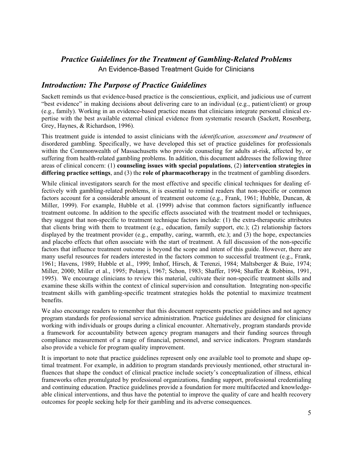# *Practice Guidelines for the Treatment of Gambling-Related Problems*  An Evidence-Based Treatment Guide for Clinicians

# *Introduction: The Purpose of Practice Guidelines*

Sackett reminds us that evidence-based practice is the conscientious, explicit, and judicious use of current "best evidence" in making decisions about delivering care to an individual (e.g., patient/client) or group (e.g., family). Working in an evidence-based practice means that clinicians integrate personal clinical expertise with the best available external clinical evidence from systematic research (Sackett, Rosenberg, Grey, Haynes, & Richardson, 1996).

This treatment guide is intended to assist clinicians with the *identification, assessment and treatment* of disordered gambling. Specifically, we have developed this set of practice guidelines for professionals within the Commonwealth of Massachusetts who provide counseling for adults at-risk, affected by, or suffering from health-related gambling problems. In addition, this document addresses the following three areas of clinical concern: (1) **counseling issues with special populations**, (2) **intervention strategies in differing practice settings**, and (3) the **role of pharmacotherapy** in the treatment of gambling disorders.

While clinical investigators search for the most effective and specific clinical techniques for dealing effectively with gambling-related problems, it is essential to remind readers that non-specific or common factors account for a considerable amount of treatment outcome (e.g., Frank, 1961; Hubble, Duncan, & Miller, 1999). For example, Hubble et al. (1999) advise that common factors significantly influence treatment outcome. In addition to the specific effects associated with the treatment model or techniques, they suggest that non-specific to treatment technique factors include: (1) the extra-therapeutic attributes that clients bring with them to treatment (e.g., education, family support, etc.); (2) relationship factors displayed by the treatment provider (e.g., empathy, caring, warmth, etc.); and (3) the hope, expectancies and placebo effects that often associate with the start of treatment. A full discussion of the non-specific factors that influence treatment outcome is beyond the scope and intent of this guide. However, there are many useful resources for readers interested in the factors common to successful treatment (e.g., Frank, 1961; Havens, 1989; Hubble et al., 1999; Imhof, Hirsch, & Terenzi, 1984; Maltsberger & Buie, 1974; Miller, 2000; Miller et al., 1995; Polanyi, 1967; Schon, 1983; Shaffer, 1994; Shaffer & Robbins, 1991, 1995). We encourage clinicians to review this material, cultivate their non-specific treatment skills and examine these skills within the context of clinical supervision and consultation. Integrating non-specific treatment skills with gambling-specific treatment strategies holds the potential to maximize treatment benefits.

We also encourage readers to remember that this document represents practice guidelines and not agency program standards for professional service administration. Practice guidelines are designed for clinicians working with individuals or groups during a clinical encounter. Alternatively, program standards provide a framework for accountability between agency program managers and their funding sources through compliance measurement of a range of financial, personnel, and service indicators. Program standards also provide a vehicle for program quality improvement.

It is important to note that practice guidelines represent only one available tool to promote and shape optimal treatment. For example, in addition to program standards previously mentioned, other structural influences that shape the conduct of clinical practice include society's conceptualization of illness, ethical frameworks often promulgated by professional organizations, funding support, professional credentialing and continuing education. Practice guidelines provide a foundation for more multifaceted and knowledgeable clinical interventions, and thus have the potential to improve the quality of care and health recovery outcomes for people seeking help for their gambling and its adverse consequences.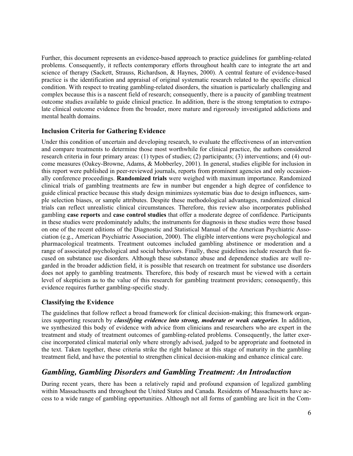Further, this document represents an evidence-based approach to practice guidelines for gambling-related problems. Consequently, it reflects contemporary efforts throughout health care to integrate the art and science of therapy (Sackett, Strauss, Richardson, & Haynes, 2000). A central feature of evidence-based practice is the identification and appraisal of original systematic research related to the specific clinical condition. With respect to treating gambling-related disorders, the situation is particularly challenging and complex because this is a nascent field of research; consequently, there is a paucity of gambling treatment outcome studies available to guide clinical practice. In addition, there is the strong temptation to extrapolate clinical outcome evidence from the broader, more mature and rigorously investigated addictions and mental health domains.

### **Inclusion Criteria for Gathering Evidence**

Under this condition of uncertain and developing research, to evaluate the effectiveness of an intervention and compare treatments to determine those most worthwhile for clinical practice, the authors considered research criteria in four primary areas: (1) types of studies; (2) participants; (3) interventions; and (4) outcome measures (Oakey-Browne, Adams, & Mobberley, 2001). In general, studies eligible for inclusion in this report were published in peer-reviewed journals, reports from prominent agencies and only occasionally conference proceedings. **Randomized trials** were weighed with maximum importance. Randomized clinical trials of gambling treatments are few in number but engender a high degree of confidence to guide clinical practice because this study design minimizes systematic bias due to design influences, sample selection biases, or sample attributes. Despite these methodological advantages, randomized clinical trials can reflect unrealistic clinical circumstances. Therefore, this review also incorporates published gambling **case reports** and **case control studies** that offer a moderate degree of confidence. Participants in these studies were predominately adults; the instruments for diagnosis in these studies were those based on one of the recent editions of the Diagnostic and Statistical Manual of the American Psychiatric Association (e.g., American Psychiatric Association, 2000). The eligible interventions were psychological and pharmacological treatments. Treatment outcomes included gambling abstinence or moderation and a range of associated psychological and social behaviors. Finally, these guidelines include research that focused on substance use disorders. Although these substance abuse and dependence studies are well regarded in the broader addiction field, it is possible that research on treatment for substance use disorders does not apply to gambling treatments. Therefore, this body of research must be viewed with a certain level of skepticism as to the value of this research for gambling treatment providers; consequently, this evidence requires further gambling-specific study.

### **Classifying the Evidence**

The guidelines that follow reflect a broad framework for clinical decision-making; this framework organizes supporting research by *classifying evidence into strong, moderate or weak categories*. In addition, we synthesized this body of evidence with advice from clinicians and researchers who are expert in the treatment and study of treatment outcomes of gambling-related problems. Consequently, the latter exercise incorporated clinical material only where strongly advised, judged to be appropriate and footnoted in the text. Taken together, these criteria strike the right balance at this stage of maturity in the gambling treatment field, and have the potential to strengthen clinical decision-making and enhance clinical care.

# *Gambling, Gambling Disorders and Gambling Treatment: An Introduction*

During recent years, there has been a relatively rapid and profound expansion of legalized gambling within Massachusetts and throughout the United States and Canada. Residents of Massachusetts have access to a wide range of gambling opportunities. Although not all forms of gambling are licit in the Com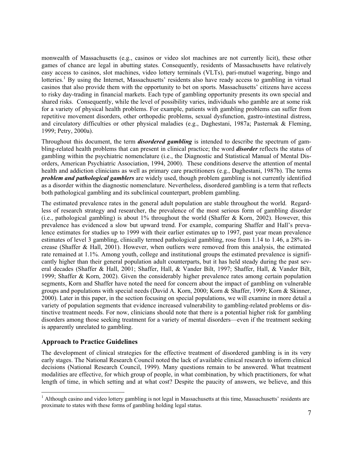monwealth of Massachusetts (e.g., casinos or video slot machines are not currently licit), these other games of chance are legal in abutting states. Consequently, residents of Massachusetts have relatively easy access to casinos, slot machines, video lottery terminals (VLTs), pari-mutuel wagering, bingo and lotteries.<sup>1</sup> By using the Internet, Massachusetts' residents also have ready access to gambling in virtual casinos that also provide them with the opportunity to bet on sports. Massachusetts' citizens have access to risky day-trading in financial markets. Each type of gambling opportunity presents its own special and shared risks. Consequently, while the level of possibility varies, individuals who gamble are at some risk for a variety of physical health problems. For example, patients with gambling problems can suffer from repetitive movement disorders, other orthopedic problems, sexual dysfunction, gastro-intestinal distress, and circulatory difficulties or other physical maladies (e.g., Daghestani, 1987a; Pasternak & Fleming, 1999; Petry, 2000a).

Throughout this document, the term *disordered gambling* is intended to describe the spectrum of gambling-related health problems that can present in clinical practice; the word *disorder* reflects the status of gambling within the psychiatric nomenclature (i.e., the Diagnostic and Statistical Manual of Mental Disorders, American Psychiatric Association, 1994, 2000). These conditions deserve the attention of mental health and addiction clinicians as well as primary care practitioners (e.g., Daghestani, 1987b). The terms *problem and pathological gamblers* are widely used, though problem gambling is not currently identified as a disorder within the diagnostic nomenclature. Nevertheless, disordered gambling is a term that reflects both pathological gambling and its subclinical counterpart, problem gambling.

The estimated prevalence rates in the general adult population are stable throughout the world. Regardless of research strategy and researcher, the prevalence of the most serious form of gambling disorder (i.e., pathological gambling) is about  $1\%$  throughout the world (Shaffer & Korn, 2002). However, this prevalence has evidenced a slow but upward trend. For example, comparing Shaffer and Hall's prevalence estimates for studies up to 1999 with their earlier estimates up to 1997, past year mean prevalence estimates of level 3 gambling, clinically termed pathological gambling, rose from 1.14 to 1.46, a 28% increase (Shaffer & Hall, 2001). However, when outliers were removed from this analysis, the estimated rate remained at 1.1%. Among youth, college and institutional groups the estimated prevalence is significantly higher than their general population adult counterparts, but it has held steady during the past several decades (Shaffer & Hall, 2001; Shaffer, Hall, & Vander Bilt, 1997; Shaffer, Hall, & Vander Bilt, 1999; Shaffer & Korn, 2002). Given the considerably higher prevalence rates among certain population segments, Korn and Shaffer have noted the need for concern about the impact of gambling on vulnerable groups and populations with special needs (David A. Korn, 2000; Korn & Shaffer, 1999; Korn & Skinner, 2000). Later in this paper, in the section focusing on special populations, we will examine in more detail a variety of population segments that evidence increased vulnerability to gambling-related problems or distinctive treatment needs. For now, clinicians should note that there is a potential higher risk for gambling disorders among those seeking treatment for a variety of mental disorders—even if the treatment seeking is apparently unrelated to gambling.

### **Approach to Practice Guidelines**

The development of clinical strategies for the effective treatment of disordered gambling is in its very early stages. The National Research Council noted the lack of available clinical research to inform clinical decisions (National Research Council, 1999). Many questions remain to be answered. What treatment modalities are effective, for which group of people, in what combination, by which practitioners, for what length of time, in which setting and at what cost? Despite the paucity of answers, we believe, and this

<sup>&</sup>lt;sup>1</sup> Although casino and video lottery gambling is not legal in Massachusetts at this time, Massachusetts' residents are proximate to states with these forms of gambling holding legal status.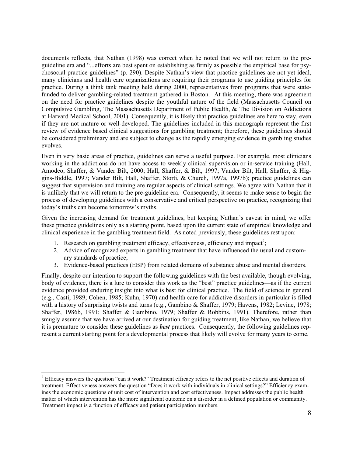documents reflects, that Nathan (1998) was correct when he noted that we will not return to the preguideline era and "...efforts are best spent on establishing as firmly as possible the empirical base for psychosocial practice guidelines" (p. 290). Despite Nathan's view that practice guidelines are not yet ideal, many clinicians and health care organizations are requiring their programs to use guiding principles for practice. During a think tank meeting held during 2000, representatives from programs that were statefunded to deliver gambling-related treatment gathered in Boston. At this meeting, there was agreement on the need for practice guidelines despite the youthful nature of the field (Massachusetts Council on Compulsive Gambling, The Massachusetts Department of Public Health, & The Division on Addictions at Harvard Medical School, 2001). Consequently, it is likely that practice guidelines are here to stay, even if they are not mature or well-developed. The guidelines included in this monograph represent the first review of evidence based clinical suggestions for gambling treatment; therefore, these guidelines should be considered preliminary and are subject to change as the rapidly emerging evidence in gambling studies evolves.

Even in very basic areas of practice, guidelines can serve a useful purpose. For example, most clinicians working in the addictions do not have access to weekly clinical supervision or in-service training (Hall, Amodeo, Shaffer, & Vander Bilt, 2000; Hall, Shaffer, & Bilt, 1997; Vander Bilt, Hall, Shaffer, & Higgins-Biddle, 1997; Vander Bilt, Hall, Shaffer, Storti, & Church, 1997a, 1997b); practice guidelines can suggest that supervision and training are regular aspects of clinical settings. We agree with Nathan that it is unlikely that we will return to the pre-guideline era. Consequently, it seems to make sense to begin the process of developing guidelines with a conservative and critical perspective on practice, recognizing that today's truths can become tomorrow's myths.

Given the increasing demand for treatment guidelines, but keeping Nathan's caveat in mind, we offer these practice guidelines only as a starting point, based upon the current state of empirical knowledge and clinical experience in the gambling treatment field. As noted previously, these guidelines rest upon:

- 1. Research on gambling treatment efficacy, effectiveness, efficiency and impact<sup>2</sup>;
- 2. Advice of recognized experts in gambling treatment that have influenced the usual and customary standards of practice;
- 3. Evidence-based practices (EBP) from related domains of substance abuse and mental disorders.

Finally, despite our intention to support the following guidelines with the best available, though evolving, body of evidence, there is a lure to consider this work as the "best" practice guidelines—as if the current evidence provided enduring insight into what is best for clinical practice. The field of science in general (e.g., Casti, 1989; Cohen, 1985; Kuhn, 1970) and health care for addictive disorders in particular is filled with a history of surprising twists and turns (e.g., Gambino & Shaffer, 1979; Havens, 1982; Levine, 1978; Shaffer, 1986b, 1991; Shaffer & Gambino, 1979; Shaffer & Robbins, 1991). Therefore, rather than smugly assume that we have arrived at our destination for guiding treatment, like Nathan, we believe that it is premature to consider these guidelines as *best* practices. Consequently, the following guidelines represent a current starting point for a developmental process that likely will evolve for many years to come.

 $2^{2}$  Efficacy answers the question "can it work?" Treatment efficacy refers to the net positive effects and duration of treatment. Effectiveness answers the question "Does it work with individuals in clinical settings?" Efficiency examines the economic questions of unit cost of intervention and cost effectiveness. Impact addresses the public health matter of which intervention has the more significant outcome on a disorder in a defined population or community. Treatment impact is a function of efficacy and patient participation numbers.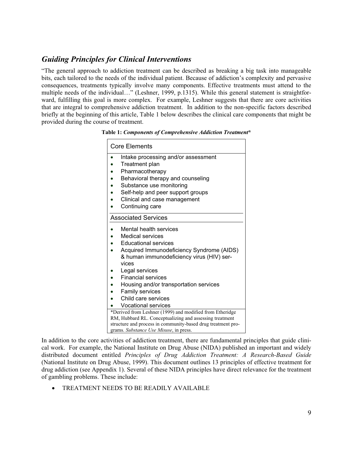# *Guiding Principles for Clinical Interventions*

"The general approach to addiction treatment can be described as breaking a big task into manageable bits, each tailored to the needs of the individual patient. Because of addiction's complexity and pervasive consequences, treatments typically involve many components. Effective treatments must attend to the multiple needs of the individual…" (Leshner, 1999, p.1315). While this general statement is straightforward, fulfilling this goal is more complex. For example, Leshner suggests that there are core activities that are integral to comprehensive addiction treatment. In addition to the non-specific factors described briefly at the beginning of this article, Table 1 below describes the clinical care components that might be provided during the course of treatment.

**Table 1:** *Components of Comprehensive Addiction Treatment***\***

| <b>Core Elements</b>                                                                                   |  |  |
|--------------------------------------------------------------------------------------------------------|--|--|
| Intake processing and/or assessment<br>$\bullet$<br>Treatment plan                                     |  |  |
| Pharmacotherapy                                                                                        |  |  |
| Behavioral therapy and counseling                                                                      |  |  |
| Substance use monitoring                                                                               |  |  |
| Self-help and peer support groups                                                                      |  |  |
| Clinical and case management                                                                           |  |  |
| Continuing care                                                                                        |  |  |
|                                                                                                        |  |  |
| <b>Associated Services</b>                                                                             |  |  |
| Mental health services                                                                                 |  |  |
| Medical services                                                                                       |  |  |
| Educational services                                                                                   |  |  |
| Acquired Immunodeficiency Syndrome (AIDS)                                                              |  |  |
| & human immunodeficiency virus (HIV) ser-                                                              |  |  |
| vices                                                                                                  |  |  |
| Legal services                                                                                         |  |  |
| <b>Financial services</b>                                                                              |  |  |
| Housing and/or transportation services                                                                 |  |  |
| <b>Family services</b>                                                                                 |  |  |
| Child care services                                                                                    |  |  |
| <b>Vocational services</b>                                                                             |  |  |
| *Derived from Leshner (1999) and modified from Etheridge                                               |  |  |
| RM, Hubbard RL. Conceptualizing and assessing treatment                                                |  |  |
| structure and process in community-based drug treatment pro-<br>grams. Substance Use Misuse, in press. |  |  |
|                                                                                                        |  |  |

In addition to the core activities of addiction treatment, there are fundamental principles that guide clinical work. For example, the National Institute on Drug Abuse (NIDA) published an important and widely distributed document entitled *Principles of Drug Addiction Treatment: A Research-Based Guide* (National Institute on Drug Abuse, 1999). This document outlines 13 principles of effective treatment for drug addiction (see Appendix 1). Several of these NIDA principles have direct relevance for the treatment of gambling problems. These include:

**• TREATMENT NEEDS TO BE READILY AVAILABLE**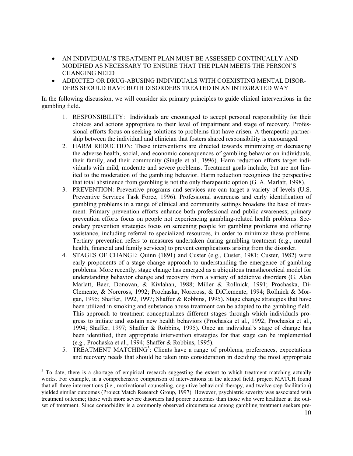- x AN INDIVIDUAL'S TREATMENT PLAN MUST BE ASSESSED CONTINUALLY AND MODIFIED AS NECESSARY TO ENSURE THAT THE PLAN MEETS THE PERSON'S CHANGING NEED
- x ADDICTED OR DRUG-ABUSING INDIVIDUALS WITH COEXISTING MENTAL DISOR-DERS SHOULD HAVE BOTH DISORDERS TREATED IN AN INTEGRATED WAY

In the following discussion, we will consider six primary principles to guide clinical interventions in the gambling field.

- 1. RESPONSIBILITY: Individuals are encouraged to accept personal responsibility for their choices and actions appropriate to their level of impairment and stage of recovery. Professional efforts focus on seeking solutions to problems that have arisen. A therapeutic partnership between the individual and clinician that fosters shared responsibility is encouraged.
- 2. HARM REDUCTION: These interventions are directed towards minimizing or decreasing the adverse health, social, and economic consequences of gambling behavior on individuals, their family, and their community (Single et al., 1996). Harm reduction efforts target individuals with mild, moderate and severe problems. Treatment goals include, but are not limited to the moderation of the gambling behavior. Harm reduction recognizes the perspective that total abstinence from gambling is not the only therapeutic option (G. A. Marlatt, 1998).
- 3. PREVENTION: Preventive programs and services are can target a variety of levels (U.S. Preventive Services Task Force, 1996). Professional awareness and early identification of gambling problems in a range of clinical and community settings broadens the base of treatment. Primary prevention efforts enhance both professional and public awareness; primary prevention efforts focus on people not experiencing gambling-related health problems. Secondary prevention strategies focus on screening people for gambling problems and offering assistance, including referral to specialized resources, in order to minimize these problems. Tertiary prevention refers to measures undertaken during gambling treatment (e.g., mental health, financial and family services) to prevent complications arising from the disorder.
- 4. STAGES OF CHANGE: Quinn (1891) and Custer (e.g., Custer, 1981; Custer, 1982) were early proponents of a stage change approach to understanding the emergence of gambling problems. More recently, stage change has emerged as a ubiquitous transtheoretical model for understanding behavior change and recovery from a variety of addictive disorders (G. Alan Marlatt, Baer, Donovan, & Kivlahan, 1988; Miller & Rollnick, 1991; Prochaska, Di-Clemente, & Norcross, 1992; Prochaska, Norcross, & DiClemente, 1994; Rollnick & Morgan, 1995; Shaffer, 1992, 1997; Shaffer & Robbins, 1995). Stage change strategies that have been utilized in smoking and substance abuse treatment can be adapted to the gambling field. This approach to treatment conceptualizes different stages through which individuals progress to initiate and sustain new health behaviors (Prochaska et al., 1992; Prochaska et al., 1994; Shaffer, 1997; Shaffer & Robbins, 1995). Once an individual's stage of change has been identified, then appropriate intervention strategies for that stage can be implemented (e.g., Prochaska et al., 1994; Shaffer & Robbins, 1995).
- 5. TREATMENT MATCHING<sup>3</sup>: Clients have a range of problems, preferences, expectations and recovery needs that should be taken into consideration in deciding the most appropriate

 $3$  To date, there is a shortage of empirical research suggesting the extent to which treatment matching actually works. For example, in a comprehensive comparison of interventions in the alcohol field, project MATCH found that all three interventions (i.e., motivational counseling, cognitive behavioral therapy, and twelve step facilitation) yielded similar outcomes (Project Match Research Group, 1997). However, psychiatric severity was associated with treatment outcome; those with more severe disorders had poorer outcomes than those who were healthier at the outset of treatment. Since comorbidity is a commonly observed circumstance among gambling treatment seekers pre-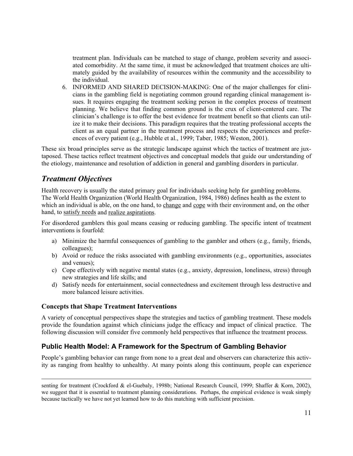treatment plan. Individuals can be matched to stage of change, problem severity and associated comorbidity. At the same time, it must be acknowledged that treatment choices are ultimately guided by the availability of resources within the community and the accessibility to the individual.

6. INFORMED AND SHARED DECISION-MAKING: One of the major challenges for clinicians in the gambling field is negotiating common ground regarding clinical management issues. It requires engaging the treatment seeking person in the complex process of treatment planning. We believe that finding common ground is the crux of client-centered care. The clinician's challenge is to offer the best evidence for treatment benefit so that clients can utilize it to make their decisions. This paradigm requires that the treating professional accepts the client as an equal partner in the treatment process and respects the experiences and preferences of every patient (e.g., Hubble et al., 1999; Taber, 1985; Weston, 2001).

These six broad principles serve as the strategic landscape against which the tactics of treatment are juxtaposed. These tactics reflect treatment objectives and conceptual models that guide our understanding of the etiology, maintenance and resolution of addiction in general and gambling disorders in particular.

# *Treatment Objectives*

Health recovery is usually the stated primary goal for individuals seeking help for gambling problems. The World Health Organization (World Health Organization, 1984, 1986) defines health as the extent to which an individual is able, on the one hand, to change and cope with their environment and, on the other hand, to satisfy needs and realize aspirations.

For disordered gamblers this goal means ceasing or reducing gambling. The specific intent of treatment interventions is fourfold:

- a) Minimize the harmful consequences of gambling to the gambler and others (e.g., family, friends, colleagues);
- b) Avoid or reduce the risks associated with gambling environments (e.g., opportunities, associates and venues);
- c) Cope effectively with negative mental states (e.g., anxiety, depression, loneliness, stress) through new strategies and life skills; and
- d) Satisfy needs for entertainment, social connectedness and excitement through less destructive and more balanced leisure activities.

# **Concepts that Shape Treatment Interventions**

A variety of conceptual perspectives shape the strategies and tactics of gambling treatment. These models provide the foundation against which clinicians judge the efficacy and impact of clinical practice. The following discussion will consider five commonly held perspectives that influence the treatment process.

# **Public Health Model: A Framework for the Spectrum of Gambling Behavior**

People's gambling behavior can range from none to a great deal and observers can characterize this activity as ranging from healthy to unhealthy. At many points along this continuum, people can experience

senting for treatment (Crockford & el-Guebaly, 1998b; National Research Council, 1999; Shaffer & Korn, 2002), we suggest that it is essential to treatment planning considerations. Perhaps, the empirical evidence is weak simply because tactically we have not yet learned how to do this matching with sufficient precision.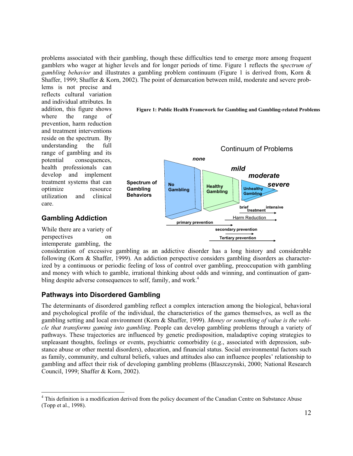problems associated with their gambling, though these difficulties tend to emerge more among frequent gamblers who wager at higher levels and for longer periods of time. Figure 1 reflects the s*pectrum of gambling behavior* and illustrates a gambling problem continuum (Figure 1 is derived from, Korn & Shaffer, 1999; Shaffer & Korn, 2002). The point of demarcation between mild, moderate and severe prob-

lems is not precise and reflects cultural variation and individual attributes. In addition, this figure shows where the range of prevention, harm reduction and treatment interventions reside on the spectrum. By understanding the full range of gambling and its potential consequences, health professionals can develop and implement treatment systems that can optimize resource utilization and clinical care.



**Figure 1: Public Health Framework for Gambling and Gambling-related Problems** 

# **Gambling Addiction**

While there are a variety of perspectives on intemperate gambling, the

consideration of excessive gambling as an addictive disorder has a long history and considerable following (Korn & Shaffer, 1999). An addiction perspective considers gambling disorders as characterized by a continuous or periodic feeling of loss of control over gambling, preoccupation with gambling and money with which to gamble, irrational thinking about odds and winning, and continuation of gambling despite adverse consequences to self, family, and work.<sup>4</sup>

# **Pathways into Disordered Gambling**

The determinants of disordered gambling reflect a complex interaction among the biological, behavioral and psychological profile of the individual, the characteristics of the games themselves, as well as the gambling setting and local environment (Korn & Shaffer, 1999). *Money or something of value is the vehicle that transforms gaming into gambling*. People can develop gambling problems through a variety of pathways. These trajectories are influenced by genetic predisposition, maladaptive coping strategies to unpleasant thoughts, feelings or events, psychiatric comorbidity (e.g., associated with depression, substance abuse or other mental disorders), education, and financial status. Social environmental factors such as family, community, and cultural beliefs, values and attitudes also can influence peoples' relationship to gambling and affect their risk of developing gambling problems (Blaszczynski, 2000; National Research Council, 1999; Shaffer & Korn, 2002).

<sup>&</sup>lt;sup>4</sup> This definition is a modification derived from the policy document of the Canadian Centre on Substance Abuse (Topp et al., 1998).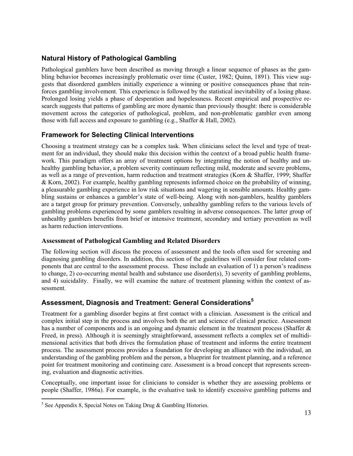# **Natural History of Pathological Gambling**

Pathological gamblers have been described as moving through a linear sequence of phases as the gambling behavior becomes increasingly problematic over time (Custer, 1982; Quinn, 1891). This view suggests that disordered gamblers initially experience a winning or positive consequences phase that reinforces gambling involvement. This experience is followed by the statistical inevitability of a losing phase. Prolonged losing yields a phase of desperation and hopelessness. Recent empirical and prospective research suggests that patterns of gambling are more dynamic than previously thought: there is considerable movement across the categories of pathological, problem, and non-problematic gambler even among those with full access and exposure to gambling (e.g., Shaffer & Hall, 2002).

# **Framework for Selecting Clinical Interventions**

Choosing a treatment strategy can be a complex task. When clinicians select the level and type of treatment for an individual, they should make this decision within the context of a broad public health framework. This paradigm offers an array of treatment options by integrating the notion of healthy and unhealthy gambling behavior, a problem severity continuum reflecting mild, moderate and severe problems, as well as a range of prevention, harm reduction and treatment strategies (Korn & Shaffer, 1999; Shaffer & Korn, 2002). For example, healthy gambling represents informed choice on the probability of winning, a pleasurable gambling experience in low risk situations and wagering in sensible amounts. Healthy gambling sustains or enhances a gambler's state of well-being. Along with non-gamblers, healthy gamblers are a target group for primary prevention. Conversely, unhealthy gambling refers to the various levels of gambling problems experienced by some gamblers resulting in adverse consequences. The latter group of unhealthy gamblers benefits from brief or intensive treatment, secondary and tertiary prevention as well as harm reduction interventions.

# **Assessment of Pathological Gambling and Related Disorders**

The following section will discuss the process of assessment and the tools often used for screening and diagnosing gambling disorders. In addition, this section of the guidelines will consider four related components that are central to the assessment process. These include an evaluation of 1) a person's readiness to change, 2) co-occurring mental health and substance use disorder(s), 3) severity of gambling problems, and 4) suicidality. Finally, we will examine the nature of treatment planning within the context of assessment.

# **Assessment, Diagnosis and Treatment: General Considerations5**

Treatment for a gambling disorder begins at first contact with a clinician. Assessment is the critical and complex initial step in the process and involves both the art and science of clinical practice. Assessment has a number of components and is an ongoing and dynamic element in the treatment process (Shaffer & Freed, in press). Although it is seemingly straightforward, assessment reflects a complex set of multidimensional activities that both drives the formulation phase of treatment and informs the entire treatment process. The assessment process provides a foundation for developing an alliance with the individual, an understanding of the gambling problem and the person, a blueprint for treatment planning, and a reference point for treatment monitoring and continuing care. Assessment is a broad concept that represents screening, evaluation and diagnostic activities.

Conceptually, one important issue for clinicians to consider is whether they are assessing problems or people (Shaffer, 1986a). For example, is the evaluative task to identify excessive gambling patterns and

 $<sup>5</sup>$  See Appendix 8, Special Notes on Taking Drug & Gambling Histories.</sup>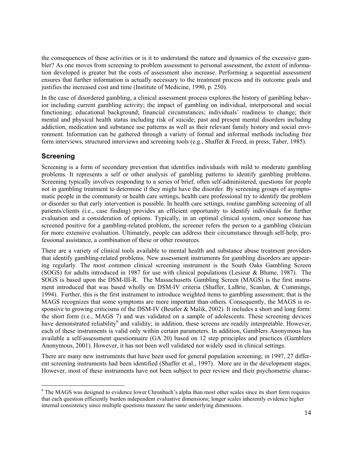the consequences of these activities or is it to understand the nature and dynamics of the excessive gambler? As one moves from screening to problem assessment to personal assessment, the extent of information developed is greater but the costs of assessment also increase. Performing a sequential assessment ensures that further information is actually necessary to the treatment process and its outcome goals and justifies the increased cost and time (Institute of Medicine, 1990, p. 250).

In the case of disordered gambling, a clinical assessment process explores the history of gambling behavior including current gambling activity; the impact of gambling on individual, interpersonal and social functioning; educational background; financial circumstances; individuals' readiness to change; their mental and physical health status including risk of suicide; past and present mental disorders including addiction, medication and substance use patterns as well as their relevant family history and social environment. Information can be gathered through a variety of formal and informal methods including free form interviews, structured interviews and screening tools (e.g., Shaffer & Freed, in press; Taber, 1985).

# **Screening**

Screening is a form of secondary prevention that identifies individuals with mild to moderate gambling problems. It represents a self or other analysis of gambling patterns to identify gambling problems. Screening typically involves responding to a series of brief, often self-administered, questions for people not in gambling treatment to determine if they might have the disorder. By screening groups of asymptomatic people in the community or health care settings, health care professional try to identify the problem or disorder so that early intervention is possible. In health care settings, routine gambling screening of all patients/clients (i.e., case finding) provides an efficient opportunity to identify individuals for further evaluation and a consideration of options. Typically, in an optimal clinical system, once someone has screened positive for a gambling-related problem, the screener refers the person to a gambling clinician for more extensive evaluation. Ultimately, people can address their circumstance through self-help, professional assistance, a combination of these or other resources.

There are a variety of clinical tools available to mental health and substance abuse treatment providers that identify gambling-related problems. New assessment instruments for gambling disorders are appearing regularly. The most common clinical screening instrument is the South Oaks Gambling Screen (SOGS) for adults introduced in 1987 for use with clinical populations (Lesieur & Blume, 1987). The SOGS is based upon the DSM-III-R. The Massachusetts Gambling Screen (MAGS) is the first instrument introduced that was based wholly on DSM-IV criteria (Shaffer, LaBrie, Scanlan, & Cummings, 1994). Further, this is the first instrument to introduce weighted items to gambling assessment; that is the MAGS recognizes that some symptoms are more important than others. Consequently, the MAGS is responsive to growing criticisms of the DSM-IV (Beutler & Malik, 2002). It includes a short and long form: the short form (i.e., MAGS 7) and was validated on a sample of adolescents. These screening devices have demonstrated reliability<sup>6</sup> and validity; in addition, these screens are readily interpretable. However, each of these instruments is valid only within certain parameters. In addition, Gamblers Anonymous has available a self-assessment questionnaire (GA 20) based on 12 step principles and practices (Gamblers Anonymous, 2001). However, it has not been well validated nor widely used in clinical settings.

There are many new instruments that have been used for general population screening; in 1997, 27 different screening instruments had been identified (Shaffer et al., 1997). More are in the development stages. However, most of these instruments have not been subject to peer review and their psychometric charac-

<sup>&</sup>lt;sup>6</sup> The MAGS was designed to evidence lower Chronbach's alpha than most other scales since its short form requires that each question efficiently burden independent evaluative dimensions; longer scales inherently evidence higher internal consistency since multiple questions measure the same underlying dimensions.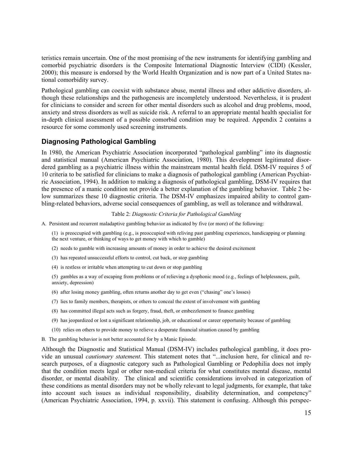teristics remain uncertain. One of the most promising of the new instruments for identifying gambling and comorbid psychiatric disorders is the Composite International Diagnostic Interview (CIDI) (Kessler, 2000); this measure is endorsed by the World Health Organization and is now part of a United States national comorbidity survey.

Pathological gambling can coexist with substance abuse, mental illness and other addictive disorders, although these relationships and the pathogenesis are incompletely understood. Nevertheless, it is prudent for clinicians to consider and screen for other mental disorders such as alcohol and drug problems, mood, anxiety and stress disorders as well as suicide risk. A referral to an appropriate mental health specialist for in-depth clinical assessment of a possible comorbid condition may be required. Appendix 2 contains a resource for some commonly used screening instruments.

# **Diagnosing Pathological Gambling**

In 1980, the American Psychiatric Association incorporated "pathological gambling" into its diagnostic and statistical manual (American Psychiatric Association, 1980). This development legitimated disordered gambling as a psychiatric illness within the mainstream mental health field. DSM-IV requires 5 of 10 criteria to be satisfied for clinicians to make a diagnosis of pathological gambling (American Psychiatric Association, 1994). In addition to making a diagnosis of pathological gambling, DSM-IV requires that the presence of a manic condition not provide a better explanation of the gambling behavior. Table 2 below summarizes these 10 diagnostic criteria. The DSM-IV emphasizes impaired ability to control gambling-related behaviors, adverse social consequences of gambling, as well as tolerance and withdrawal.

#### Table 2: *Diagnostic Criteria for Pathological Gambling*

A. Persistent and recurrent maladaptive gambling behavior as indicated by five (or more) of the following:

(1) is preoccupied with gambling (e.g., is preoccupied with reliving past gambling experiences, handicapping or planning the next venture, or thinking of ways to get money with which to gamble)

(2) needs to gamble with increasing amounts of money in order to achieve the desired excitement

- (3) has repeated unsuccessful efforts to control, cut back, or stop gambling
- (4) is restless or irritable when attempting to cut down or stop gambling

(5) gambles as a way of escaping from problems or of relieving a dysphonic mood (e.g., feelings of helplessness, guilt, anxiety, depression)

- (6) after losing money gambling, often returns another day to get even ("chasing" one's losses)
- (7) lies to family members, therapists, or others to conceal the extent of involvement with gambling
- (8) has committed illegal acts such as forgery, fraud, theft, or embezzlement to finance gambling
- (9) has jeopardized or lost a significant relationship, job, or educational or career opportunity because of gambling
- (10) relies on others to provide money to relieve a desperate financial situation caused by gambling
- B. The gambling behavior is not better accounted for by a Manic Episode.

Although the Diagnostic and Statistical Manual (DSM-IV) includes pathological gambling, it does provide an unusual *cautionary statement*. This statement notes that "...inclusion here, for clinical and research purposes, of a diagnostic category such as Pathological Gambling or Pedophilia does not imply that the condition meets legal or other non-medical criteria for what constitutes mental disease, mental disorder, or mental disability. The clinical and scientific considerations involved in categorization of these conditions as mental disorders may not be wholly relevant to legal judgments, for example, that take into account such issues as individual responsibility, disability determination, and competency" (American Psychiatric Association, 1994, p. xxvii). This statement is confusing. Although this perspec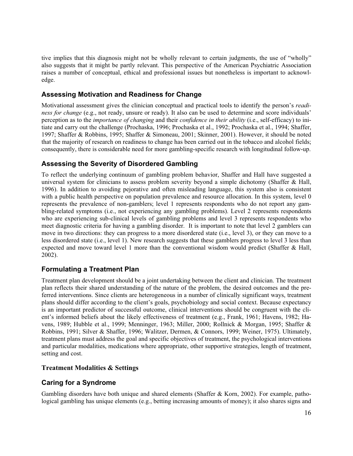tive implies that this diagnosis might not be wholly relevant to certain judgments, the use of "wholly" also suggests that it might be partly relevant. This perspective of the American Psychiatric Association raises a number of conceptual, ethical and professional issues but nonetheless is important to acknowledge.

# **Assessing Motivation and Readiness for Change**

Motivational assessment gives the clinician conceptual and practical tools to identify the person's *readiness for change* (e.g., not ready, unsure or ready). It also can be used to determine and score individuals' perception as to the *importance of changing* and their *confidence in their ability* (i.e., self-efficacy) to initiate and carry out the challenge (Prochaska, 1996; Prochaska et al., 1992; Prochaska et al., 1994; Shaffer, 1997; Shaffer & Robbins, 1995; Shaffer & Simoneau, 2001; Skinner, 2001). However, it should be noted that the majority of research on readiness to change has been carried out in the tobacco and alcohol fields; consequently, there is considerable need for more gambling-specific research with longitudinal follow-up.

# **Assessing the Severity of Disordered Gambling**

To reflect the underlying continuum of gambling problem behavior, Shaffer and Hall have suggested a universal system for clinicians to assess problem severity beyond a simple dichotomy (Shaffer & Hall, 1996). In addition to avoiding pejorative and often misleading language, this system also is consistent with a public health perspective on population prevalence and resource allocation. In this system, level 0 represents the prevalence of non-gamblers; level 1 represents respondents who do not report any gambling-related symptoms (i.e., not experiencing any gambling problems). Level 2 represents respondents who are experiencing sub-clinical levels of gambling problems and level 3 represents respondents who meet diagnostic criteria for having a gambling disorder. It is important to note that level 2 gamblers can move in two directions: they can progress to a more disordered state (i.e., level 3), or they can move to a less disordered state (i.e., level 1). New research suggests that these gamblers progress to level 3 less than expected and move toward level 1 more than the conventional wisdom would predict (Shaffer & Hall, 2002).

# **Formulating a Treatment Plan**

Treatment plan development should be a joint undertaking between the client and clinician. The treatment plan reflects their shared understanding of the nature of the problem, the desired outcomes and the preferred interventions. Since clients are heterogeneous in a number of clinically significant ways, treatment plans should differ according to the client's goals, psychobiology and social context. Because expectancy is an important predictor of successful outcome, clinical interventions should be congruent with the client's informed beliefs about the likely effectiveness of treatment (e.g., Frank, 1961; Havens, 1982; Havens, 1989; Hubble et al., 1999; Menninger, 1963; Miller, 2000; Rollnick & Morgan, 1995; Shaffer & Robbins, 1991; Silver & Shaffer, 1996; Walitzer, Dermen, & Connors, 1999; Weiner, 1975). Ultimately, treatment plans must address the goal and specific objectives of treatment, the psychological interventions and particular modalities, medications where appropriate, other supportive strategies, length of treatment, setting and cost.

### **Treatment Modalities & Settings**

# **Caring for a Syndrome**

Gambling disorders have both unique and shared elements (Shaffer & Korn, 2002). For example, pathological gambling has unique elements (e.g., betting increasing amounts of money); it also shares signs and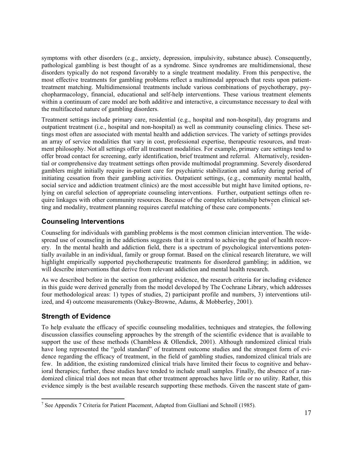symptoms with other disorders (e.g., anxiety, depression, impulsivity, substance abuse). Consequently, pathological gambling is best thought of as a syndrome. Since syndromes are multidimensional, these disorders typically do not respond favorably to a single treatment modality. From this perspective, the most effective treatments for gambling problems reflect a multimodal approach that rests upon patienttreatment matching. Multidimensional treatments include various combinations of psychotherapy, psychopharmacology, financial, educational and self-help interventions. These various treatment elements within a continuum of care model are both additive and interactive, a circumstance necessary to deal with the multifaceted nature of gambling disorders.

Treatment settings include primary care, residential (e.g., hospital and non-hospital), day programs and outpatient treatment (i.e., hospital and non-hospital) as well as community counseling clinics. These settings most often are associated with mental health and addiction services. The variety of settings provides an array of service modalities that vary in cost, professional expertise, therapeutic resources, and treatment philosophy. Not all settings offer all treatment modalities. For example, primary care settings tend to offer broad contact for screening, early identification, brief treatment and referral. Alternatively, residential or comprehensive day treatment settings often provide multimodal programming. Severely disordered gamblers might initially require in-patient care for psychiatric stabilization and safety during period of initiating cessation from their gambling activities. Outpatient settings, (e.g., community mental health, social service and addiction treatment clinics) are the most accessible but might have limited options, relying on careful selection of appropriate counseling interventions. Further, outpatient settings often require linkages with other community resources. Because of the complex relationship between clinical setting and modality, treatment planning requires careful matching of these care components.<sup>7</sup>

# **Counseling Interventions**

Counseling for individuals with gambling problems is the most common clinician intervention. The widespread use of counseling in the addictions suggests that it is central to achieving the goal of health recovery. In the mental health and addiction field, there is a spectrum of psychological interventions potentially available in an individual, family or group format. Based on the clinical research literature, we will highlight empirically supported psychotherapeutic treatments for disordered gambling; in addition, we will describe interventions that derive from relevant addiction and mental health research.

As we described before in the section on gathering evidence, the research criteria for including evidence in this guide were derived generally from the model developed by The Cochrane Library, which addresses four methodological areas: 1) types of studies, 2) participant profile and numbers, 3) interventions utilized, and 4) outcome measurements (Oakey-Browne, Adams, & Mobberley, 2001).

# **Strength of Evidence**

To help evaluate the efficacy of specific counseling modalities, techniques and strategies, the following discussion classifies counseling approaches by the strength of the scientific evidence that is available to support the use of these methods (Chambless & Ollendick, 2001). Although randomized clinical trials have long represented the "gold standard" of treatment outcome studies and the strongest form of evidence regarding the efficacy of treatment, in the field of gambling studies, randomized clinical trials are few. In addition, the existing randomized clinical trials have limited their focus to cognitive and behavioral therapies; further, these studies have tended to include small samples. Finally, the absence of a randomized clinical trial does not mean that other treatment approaches have little or no utility. Rather, this evidence simply is the best available research supporting these methods. Given the nascent state of gam-

<sup>&</sup>lt;sup>7</sup> See Appendix 7 Criteria for Patient Placement, Adapted from Giulliani and Schnoll (1985).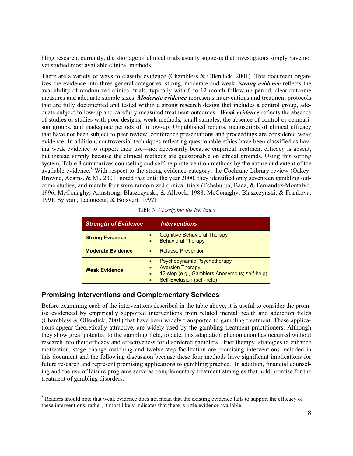bling research, currently, the shortage of clinical trials usually suggests that investigators simply have not yet studied most available clinical methods.

There are a variety of ways to classify evidence (Chambless & Ollendick, 2001). This document organizes the evidence into three general categories: strong, moderate and weak. S*trong evidence* reflects the availability of randomized clinical trials, typically with 6 to 12 month follow-up period, clear outcome measures and adequate sample sizes. *Moderate evidence* represents interventions and treatment protocols that are fully documented and tested within a strong research design that includes a control group, adequate subject follow-up and carefully measured treatment outcomes. *Weak evidence* reflects the absence of studies or studies with poor designs, weak methods, small samples, the absence of control or comparison groups, and inadequate periods of follow-up. Unpublished reports, manuscripts of clinical efficacy that have not been subject to peer review, conference presentations and proceedings are considered weak evidence. In addition, controversial techniques reflecting questionable ethics have been classified as having weak evidence to support their use—not necessarily because empirical treatment efficacy is absent, but instead simply because the clinical methods are questionable on ethical grounds. Using this sorting system, Table 3 summarizes counseling and self-help intervention methods by the nature and extent of the available evidence.<sup>8</sup> With respect to the strong evidence category, the Cochrane Library review (Oakey-Browne, Adams, & M., 2001) noted that until the year 2000, they identified only seventeen gambling outcome studies, and merely four were randomized clinical trials (Echeburua, Baez, & Fernandez-Montalvo, 1996; McConaghy, Armstrong, Blaszczynski, & Allcock, 1988; McConaghy, Blaszczynski, & Frankova, 1991; Sylvain, Ladouceur, & Boisvert, 1997).

|  |  | Table 3: Classifying the Evidence |
|--|--|-----------------------------------|
|--|--|-----------------------------------|

| <b>Strength of Evidence</b> | <i><u><b>Interventions</b></u></i>                                                                                                                 |
|-----------------------------|----------------------------------------------------------------------------------------------------------------------------------------------------|
| <b>Strong Evidence</b>      | <b>Cognitive Behavioral Therapy</b><br><b>Behavioral Therapy</b>                                                                                   |
| <b>Moderate Evidence</b>    | <b>Relapse Prevention</b>                                                                                                                          |
| <b>Weak Evidence</b>        | Psychodynamic Psychotherapy<br><b>Aversion Therapy</b><br>12-step (e.g., Gamblers Anonymous; self-help)<br>$\bullet$<br>Self-Exclusion (self-help) |

### **Promising Interventions and Complementary Services**

Before examining each of the interventions described in the table above, it is useful to consider the promise evidenced by empirically supported interventions from related mental health and addiction fields (Chambless & Ollendick, 2001) that have been widely transported to gambling treatment. These applications appear theoretically attractive, are widely used by the gambling treatment practitioners. Although they show great potential to the gambling field, to date, this adaptation phenomenon has occurred without research into their efficacy and effectiveness for disordered gamblers. Brief therapy, strategies to enhance motivation, stage change matching and twelve-step facilitation are promising interventions included in this document and the following discussion because these four methods have significant implications for future research and represent promising applications to gambling practice. In addition, financial counseling and the use of leisure programs serve as complementary treatment strategies that hold promise for the treatment of gambling disorders.

<sup>&</sup>lt;sup>8</sup> Readers should note that weak evidence does not mean that the existing evidence fails to support the efficacy of these interventions; rather, it most likely indicates that there is little evidence available.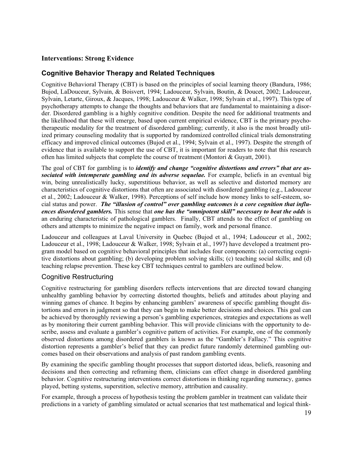# **Interventions: Strong Evidence**

# **Cognitive Behavior Therapy and Related Techniques**

Cognitive Behavioral Therapy (CBT) is based on the principles of social learning theory (Bandura, 1986; Bujod, LaDouceur, Sylvain, & Boisvert, 1994; Ladouceur, Sylvain, Boutin, & Doucet, 2002; Ladouceur, Sylvain, Letarte, Giroux, & Jacques, 1998; Ladouceur & Walker, 1998; Sylvain et al., 1997). This type of psychotherapy attempts to change the thoughts and behaviors that are fundamental to maintaining a disorder. Disordered gambling is a highly cognitive condition. Despite the need for additional treatments and the likelihood that these will emerge, based upon current empirical evidence, CBT is the primary psychotherapeutic modality for the treatment of disordered gambling; currently, it also is the most broadly utilized primary counseling modality that is supported by randomized controlled clinical trials demonstrating efficacy and improved clinical outcomes (Bujod et al., 1994; Sylvain et al., 1997). Despite the strength of evidence that is available to support the use of CBT, it is important for readers to note that this research often has limited subjects that complete the course of treatment (Montori & Guyatt, 2001).

The goal of CBT for gambling is to *identify and change "cognitive distortions and errors" that are associated with intemperate gambling and its adverse sequelae.* For example, beliefs in an eventual big win, being unrealistically lucky, superstitious behavior, as well as selective and distorted memory are characteristics of cognitive distortions that often are associated with disordered gambling (e.g., Ladouceur et al., 2002; Ladouceur & Walker, 1998). Perceptions of self include how money links to self-esteem, social status and power. *The "illusion of control" over gambling outcomes is a core cognition that influences disordered gamblers.* This sense that *one has the "omnipotent skill" necessary to beat the odds* is an enduring characteristic of pathological gamblers. Finally, CBT attends to the effect of gambling on others and attempts to minimize the negative impact on family, work and personal finance.

Ladouceur and colleagues at Laval University in Quebec (Bujod et al., 1994; Ladouceur et al., 2002; Ladouceur et al., 1998; Ladouceur & Walker, 1998; Sylvain et al., 1997) have developed a treatment program model based on cognitive behavioral principles that includes four components: (a) correcting cognitive distortions about gambling; (b) developing problem solving skills; (c) teaching social skills; and (d) teaching relapse prevention. These key CBT techniques central to gamblers are outlined below.

### Cognitive Restructuring

Cognitive restructuring for gambling disorders reflects interventions that are directed toward changing unhealthy gambling behavior by correcting distorted thoughts, beliefs and attitudes about playing and winning games of chance. It begins by enhancing gamblers' awareness of specific gambling thought distortions and errors in judgment so that they can begin to make better decisions and choices. This goal can be achieved by thoroughly reviewing a person's gambling experiences, strategies and expectations as well as by monitoring their current gambling behavior. This will provide clinicians with the opportunity to describe, assess and evaluate a gambler's cognitive pattern of activities. For example, one of the commonly observed distortions among disordered gamblers is known as the "Gambler's Fallacy." This cognitive distortion represents a gambler's belief that they can predict future randomly determined gambling outcomes based on their observations and analysis of past random gambling events.

By examining the specific gambling thought processes that support distorted ideas, beliefs, reasoning and decisions and then correcting and reframing them, clinicians can effect change in disordered gambling behavior. Cognitive restructuring interventions correct distortions in thinking regarding numeracy, games played, betting systems, superstition, selective memory, attribution and causality.

For example, through a process of hypothesis testing the problem gambler in treatment can validate their predictions in a variety of gambling simulated or actual scenarios that test mathematical and logical think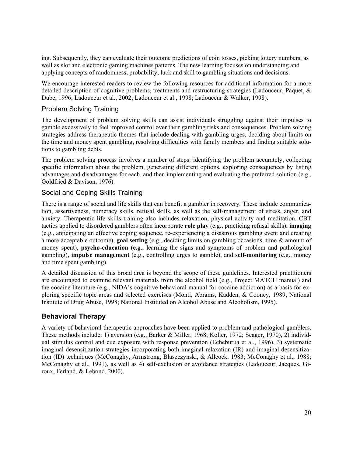ing. Subsequently, they can evaluate their outcome predictions of coin tosses, picking lottery numbers, as well as slot and electronic gaming machines patterns. The new learning focuses on understanding and applying concepts of randomness, probability, luck and skill to gambling situations and decisions.

We encourage interested readers to review the following resources for additional information for a more detailed description of cognitive problems, treatments and restructuring strategies (Ladouceur, Paquet, & Dube, 1996; Ladouceur et al., 2002; Ladouceur et al., 1998; Ladouceur & Walker, 1998).

# Problem Solving Training

The development of problem solving skills can assist individuals struggling against their impulses to gamble excessively to feel improved control over their gambling risks and consequences. Problem solving strategies address therapeutic themes that include dealing with gambling urges, deciding about limits on the time and money spent gambling, resolving difficulties with family members and finding suitable solutions to gambling debts.

The problem solving process involves a number of steps: identifying the problem accurately, collecting specific information about the problem, generating different options, exploring consequences by listing advantages and disadvantages for each, and then implementing and evaluating the preferred solution (e.g., Goldfried & Davison, 1976).

# Social and Coping Skills Training

There is a range of social and life skills that can benefit a gambler in recovery. These include communication, assertiveness, numeracy skills, refusal skills, as well as the self-management of stress, anger, and anxiety. Therapeutic life skills training also includes relaxation, physical activity and meditation. CBT tactics applied to disordered gamblers often incorporate **role play** (e.g., practicing refusal skills), **imaging** (e.g., anticipating an effective coping sequence, re-experiencing a disastrous gambling event and creating a more acceptable outcome), **goal setting** (e.g., deciding limits on gambling occasions, time & amount of money spent), **psycho-education** (e.g., learning the signs and symptoms of problem and pathological gambling), **impulse management** (e.g., controlling urges to gamble), and **self-monitoring** (e.g., money and time spent gambling).

A detailed discussion of this broad area is beyond the scope of these guidelines. Interested practitioners are encouraged to examine relevant materials from the alcohol field (e.g., Project MATCH manual) and the cocaine literature (e.g., NIDA's cognitive behavioral manual for cocaine addiction) as a basis for exploring specific topic areas and selected exercises (Monti, Abrams, Kadden, & Cooney, 1989; National Institute of Drug Abuse, 1998; National Instituted on Alcohol Abuse and Alcoholism, 1995).

# **Behavioral Therapy**

A variety of behavioral therapeutic approaches have been applied to problem and pathological gamblers. These methods include: 1) aversion (e.g., Barker & Miller, 1968; Koller, 1972; Seager, 1970), 2) individual stimulus control and cue exposure with response prevention (Echeburua et al., 1996), 3) systematic imaginal desensitization strategies incorporating both imaginal relaxation (IR) and imaginal desensitization (ID) techniques (McConaghy, Armstrong, Blaszczynski, & Allcock, 1983; McConaghy et al., 1988; McConaghy et al., 1991), as well as 4) self-exclusion or avoidance strategies (Ladouceur, Jacques, Giroux, Ferland, & Lebond, 2000).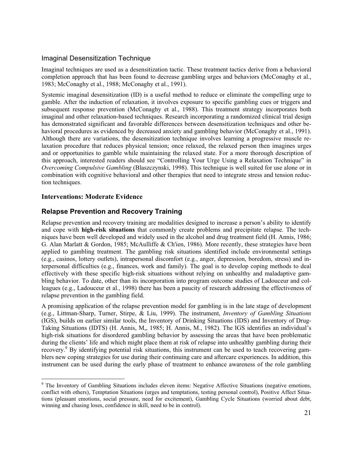# Imaginal Desensitization Technique

Imaginal techniques are used as a desensitization tactic. These treatment tactics derive from a behavioral completion approach that has been found to decrease gambling urges and behaviors (McConaghy et al., 1983; McConaghy et al., 1988; McConaghy et al., 1991).

Systemic imaginal desensitization (ID) is a useful method to reduce or eliminate the compelling urge to gamble. After the induction of relaxation, it involves exposure to specific gambling cues or triggers and subsequent response prevention (McConaghy et al., 1988). This treatment strategy incorporates both imaginal and other relaxation-based techniques. Research incorporating a randomized clinical trial design has demonstrated significant and favorable differences between desensitization techniques and other behavioral procedures as evidenced by decreased anxiety and gambling behavior (McConaghy et al., 1991). Although there are variations, the desensitization technique involves learning a progressive muscle relaxation procedure that reduces physical tension; once relaxed, the relaxed person then imagines urges and or opportunities to gamble while maintaining the relaxed state. For a more thorough description of this approach, interested readers should see "Controlling Your Urge Using a Relaxation Technique" in *Overcoming Compulsive Gambling* (Blaszczynski, 1998). This technique is well suited for use alone or in combination with cognitive behavioral and other therapies that need to integrate stress and tension reduction techniques.

### **Interventions: Moderate Evidence**

# **Relapse Prevention and Recovery Training**

Relapse prevention and recovery training are modalities designed to increase a person's ability to identify and cope with **high-risk situations** that commonly create problems and precipitate relapse. The techniques have been well developed and widely used in the alcohol and drug treatment field (H. Annis, 1986; G. Alan Marlatt & Gordon, 1985; McAulliffe & Ch'ien, 1986). More recently, these strategies have been applied to gambling treatment. The gambling risk situations identified include environmental settings (e.g., casinos, lottery outlets), intrapersonal discomfort (e.g., anger, depression, boredom, stress) and interpersonal difficulties (e.g., finances, work and family). The goal is to develop coping methods to deal effectively with these specific high-risk situations without relying on unhealthy and maladaptive gambling behavior. To date, other than its incorporation into program outcome studies of Ladouceur and colleagues (e.g., Ladouceur et al., 1998) there has been a paucity of research addressing the effectiveness of relapse prevention in the gambling field.

A promising application of the relapse prevention model for gambling is in the late stage of development (e.g., Littman-Sharp, Turner, Stirpe, & Liu, 1999). The instrument, *Inventory of Gambling Situations* (IGS), builds on earlier similar tools, the Inventory of Drinking Situations (IDS) and Inventory of Drug-Taking Situations (IDTS) (H. Annis, M,, 1985; H. Annis, M., 1982). The IGS identifies an individual's high-risk situations for disordered gambling behavior by assessing the areas that have been problematic during the clients' life and which might place them at risk of relapse into unhealthy gambling during their recovery.<sup>9</sup> By identifying potential risk situations, this instrument can be used to teach recovering gamblers new coping strategies for use during their continuing care and aftercare experiences. In addition, this instrument can be used during the early phase of treatment to enhance awareness of the role gambling

<sup>&</sup>lt;sup>9</sup> The Inventory of Gambling Situations includes eleven items: Negative Affective Situations (negative emotions, conflict with others), Temptation Situations (urges and temptations, testing personal control), Positive Affect Situations (pleasant emotions, social pressure, need for excitement), Gambling Cycle Situations (worried about debt, winning and chasing loses, confidence in skill, need to be in control).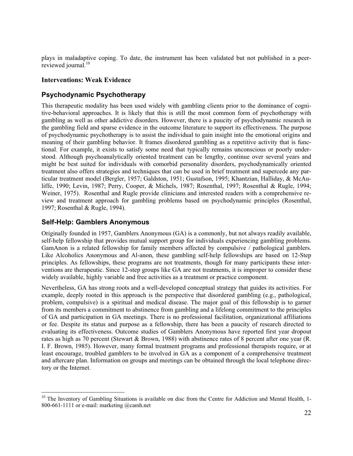plays in maladaptive coping. To date, the instrument has been validated but not published in a peerreviewed journal.<sup>10</sup>

### **Interventions: Weak Evidence**

### **Psychodynamic Psychotherapy**

This therapeutic modality has been used widely with gambling clients prior to the dominance of cognitive-behavioral approaches. It is likely that this is still the most common form of psychotherapy with gambling as well as other addictive disorders. However, there is a paucity of psychodynamic research in the gambling field and sparse evidence in the outcome literature to support its effectiveness. The purpose of psychodynamic psychotherapy is to assist the individual to gain insight into the emotional origins and meaning of their gambling behavior. It frames disordered gambling as a repetitive activity that is functional. For example, it exists to satisfy some need that typically remains unconscious or poorly understood. Although psychoanalytically oriented treatment can be lengthy, continue over several years and might be best suited for individuals with comorbid personality disorders, psychodynamically oriented treatment also offers strategies and techniques that can be used in brief treatment and supercede any particular treatment model (Bergler, 1957; Galdston, 1951; Gustafson, 1995; Khantzian, Halliday, & McAuliffe, 1990; Levin, 1987; Perry, Cooper, & Michels, 1987; Rosenthal, 1997; Rosenthal & Rugle, 1994; Weiner, 1975). Rosenthal and Rugle provide clinicians and interested readers with a comprehensive review and treatment approach for gambling problems based on psychodynamic principles (Rosenthal, 1997; Rosenthal & Rugle, 1994).

### **Self-Help: Gamblers Anonymous**

Originally founded in 1957, Gamblers Anonymous (GA) is a commonly, but not always readily available, self-help fellowship that provides mutual support group for individuals experiencing gambling problems. GamAnon is a related fellowship for family members affected by compulsive / pathological gamblers. Like Alcoholics Anonymous and Al-anon, these gambling self-help fellowships are based on 12-Step principles. As fellowships, these programs are not treatments, though for many participants these interventions are therapeutic. Since 12-step groups like GA are not treatments, it is improper to consider these widely available, highly variable and free activities as a treatment or practice component.

Nevertheless, GA has strong roots and a well-developed conceptual strategy that guides its activities. For example, deeply rooted in this approach is the perspective that disordered gambling (e.g., pathological, problem, compulsive) is a spiritual and medical disease. The major goal of this fellowship is to garner from its members a commitment to abstinence from gambling and a lifelong commitment to the principles of GA and participation in GA meetings. There is no professional facilitation, organizational affiliations or fee. Despite its status and purpose as a fellowship, there has been a paucity of research directed to evaluating its effectiveness. Outcome studies of Gamblers Anonymous have reported first year dropout rates as high as 70 percent (Stewart & Brown, 1988) with abstinence rates of 8 percent after one year (R. I. F. Brown, 1985). However, many formal treatment programs and professional therapists require, or at least encourage, troubled gamblers to be involved in GA as a component of a comprehensive treatment and aftercare plan. Information on groups and meetings can be obtained through the local telephone directory or the Internet.

<sup>&</sup>lt;sup>10</sup> The Inventory of Gambling Situations is available on disc from the Centre for Addiction and Mental Health, 1-800-661-1111 or e-mail: marketing @camh.net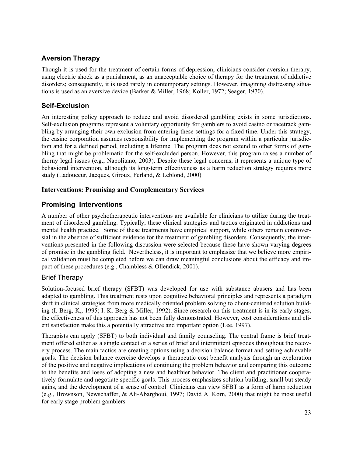# **Aversion Therapy**

Though it is used for the treatment of certain forms of depression, clinicians consider aversion therapy, using electric shock as a punishment, as an unacceptable choice of therapy for the treatment of addictive disorders; consequently, it is used rarely in contemporary settings. However, imagining distressing situations is used as an aversive device (Barker & Miller, 1968; Koller, 1972; Seager, 1970).

# **Self-Exclusion**

An interesting policy approach to reduce and avoid disordered gambling exists in some jurisdictions. Self-exclusion programs represent a voluntary opportunity for gamblers to avoid casino or racetrack gambling by arranging their own exclusion from entering these settings for a fixed time. Under this strategy, the casino corporation assumes responsibility for implementing the program within a particular jurisdiction and for a defined period, including a lifetime. The program does not extend to other forms of gambling that might be problematic for the self-excluded person. However, this program raises a number of thorny legal issues (e.g., Napolitano, 2003). Despite these legal concerns, it represents a unique type of behavioral intervention, although its long-term effectiveness as a harm reduction strategy requires more study (Ladouceur, Jacques, Giroux, Ferland, & Leblond, 2000)

### **Interventions: Promising and Complementary Services**

# **Promising Interventions**

A number of other psychotherapeutic interventions are available for clinicians to utilize during the treatment of disordered gambling. Typically, these clinical strategies and tactics originated in addictions and mental health practice. Some of these treatments have empirical support, while others remain controversial in the absence of sufficient evidence for the treatment of gambling disorders. Consequently, the interventions presented in the following discussion were selected because these have shown varying degrees of promise in the gambling field. Nevertheless, it is important to emphasize that we believe more empirical validation must be completed before we can draw meaningful conclusions about the efficacy and impact of these procedures (e.g., Chambless & Ollendick, 2001).

# Brief Therapy

Solution-focused brief therapy (SFBT) was developed for use with substance abusers and has been adapted to gambling. This treatment rests upon cognitive behavioral principles and represents a paradigm shift in clinical strategies from more medically oriented problem solving to client-centered solution building (I. Berg, K,, 1995; I. K. Berg & Miller, 1992). Since research on this treatment is in its early stages, the effectiveness of this approach has not been fully demonstrated. However, cost considerations and client satisfaction make this a potentially attractive and important option (Lee, 1997).

Therapists can apply (SFBT) to both individual and family counseling. The central frame is brief treatment offered either as a single contact or a series of brief and intermittent episodes throughout the recovery process. The main tactics are creating options using a decision balance format and setting achievable goals. The decision balance exercise develops a therapeutic cost benefit analysis through an exploration of the positive and negative implications of continuing the problem behavior and comparing this outcome to the benefits and loses of adopting a new and healthier behavior. The client and practitioner cooperatively formulate and negotiate specific goals. This process emphasizes solution building, small but steady gains, and the development of a sense of control. Clinicians can view SFBT as a form of harm reduction (e.g., Brownson, Newschaffer, & Ali-Abarghoui, 1997; David A. Korn, 2000) that might be most useful for early stage problem gamblers.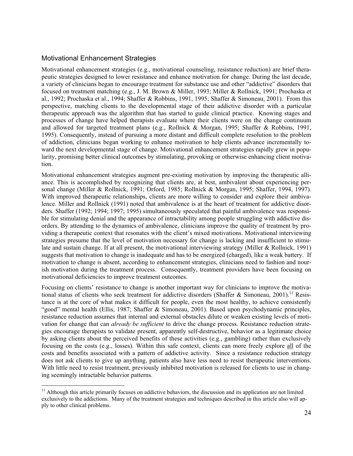### Motivational Enhancement Strategies

Motivational enhancement strategies (e.g., motivational counseling, resistance reduction) are brief therapeutic strategies designed to lower resistance and enhance motivation for change. During the last decade, a variety of clinicians began to encourage treatment for substance use and other "addictive" disorders that focused on treatment matching (e.g., J. M. Brown & Miller, 1993; Miller & Rollnick, 1991; Prochaska et al., 1992; Prochaska et al., 1994; Shaffer & Robbins, 1991, 1995; Shaffer & Simoneau, 2001). From this perspective, matching clients to the developmental stage of their addictive disorder with a particular therapeutic approach was the algorithm that has started to guide clinical practice. Knowing stages and processes of change have helped therapists evaluate where their clients were on the change continuum and allowed for targeted treatment plans (e.g., Rollnick & Morgan, 1995; Shaffer & Robbins, 1991, 1995). Consequently, instead of pursuing a more distant and difficult complete resolution to the problem of addiction, clinicians began working to enhance motivation to help clients advance incrementally toward the next developmental stage of change. Motivational enhancement strategies rapidly grew in popularity, promising better clinical outcomes by stimulating, provoking or otherwise enhancing client motivation.

Motivational enhancement strategies augment pre-existing motivation by improving the therapeutic alliance. This is accomplished by recognizing that clients are, at best, ambivalent about experiencing personal change (Miller & Rollnick, 1991; Orford, 1985; Rollnick & Morgan, 1995; Shaffer, 1994, 1997). With improved therapeutic relationships, clients are more willing to consider and explore their ambivalence. Miller and Rollnick (1991) noted that ambivalence is at the heart of treatment for addictive disorders. Shaffer (1992; 1994; 1997; 1995) simultaneously speculated that painful ambivalence was responsible for stimulating denial and the appearance of intractability among people struggling with addictive disorders. By attending to the dynamics of ambivalence, clinicians improve the quality of treatment by providing a therapeutic context that resonates with the client's mixed motivations. Motivational interviewing strategies presume that the level of motivation necessary for change is lacking and insufficient to stimulate and sustain change. If at all present, the motivational interviewing strategy (Miller & Rollnick, 1991) suggests that motivation to change is inadequate and has to be energized (charged), like a weak battery. If motivation to change is absent, according to enhancement strategies, clinicians need to fashion and nourish motivation during the treatment process. Consequently, treatment providers have been focusing on motivational deficiencies to improve treatment outcomes.

Focusing on clients' resistance to change is another important way for clinicians to improve the motivational status of clients who seek treatment for addictive disorders (Shaffer & Simoneau, 2001).<sup>11</sup> Resistance is at the core of what makes it difficult for people, even the most healthy, to achieve consistently "good" mental health (Ellis, 1987; Shaffer & Simoneau, 2001). Based upon psychodynamic principles, resistance reduction assumes that internal and external obstacles dilute or weaken existing levels of motivation for change that can *already be sufficient* to drive the change process. Resistance reduction strategies encourage therapists to validate present, apparently self-destructive, behavior as a legitimate choice by asking clients about the perceived benefits of these activities (e.g., gambling) rather than exclusively focusing on the costs (e.g., losses). Within this safe context, clients can more freely explore all of the costs and benefits associated with a pattern of addictive activity. Since a resistance reduction strategy does not ask clients to give up anything, patients also have less need to resist therapeutic interventions. With little need to resist treatment, previously inhibited motivation is released for clients to use in changing seemingly intractable behavior patterns.

 $11$  Although this article primarily focuses on addictive behaviors, the discussion and its application are not limited exclusively to the addictions. Many of the treatment strategies and techniques described in this article also will apply to other clinical problems.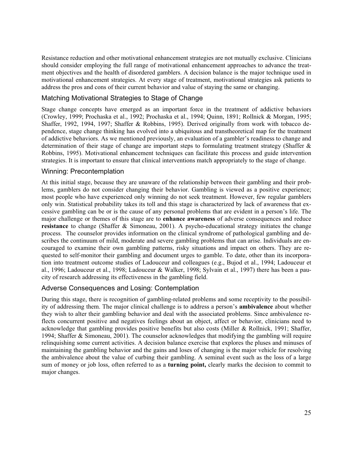Resistance reduction and other motivational enhancement strategies are not mutually exclusive. Clinicians should consider employing the full range of motivational enhancement approaches to advance the treatment objectives and the health of disordered gamblers. A decision balance is the major technique used in motivational enhancement strategies. At every stage of treatment, motivational strategies ask patients to address the pros and cons of their current behavior and value of staying the same or changing.

### Matching Motivational Strategies to Stage of Change

Stage change concepts have emerged as an important force in the treatment of addictive behaviors (Crowley, 1999; Prochaska et al., 1992; Prochaska et al., 1994; Quinn, 1891; Rollnick & Morgan, 1995; Shaffer, 1992, 1994, 1997; Shaffer & Robbins, 1995). Derived originally from work with tobacco dependence, stage change thinking has evolved into a ubiquitous and transtheoretical map for the treatment of addictive behaviors. As we mentioned previously, an evaluation of a gambler's readiness to change and determination of their stage of change are important steps to formulating treatment strategy (Shaffer & Robbins, 1995). Motivational enhancement techniques can facilitate this process and guide intervention strategies. It is important to ensure that clinical interventions match appropriately to the stage of change.

### Winning: Precontemplation

At this initial stage, because they are unaware of the relationship between their gambling and their problems, gamblers do not consider changing their behavior. Gambling is viewed as a positive experience; most people who have experienced only winning do not seek treatment. However, few regular gamblers only win. Statistical probability takes its toll and this stage is characterized by lack of awareness that excessive gambling can be or is the cause of any personal problems that are evident in a person's life. The major challenge or themes of this stage are to **enhance awareness** of adverse consequences and reduce **resistance** to change (Shaffer & Simoneau, 2001). A psycho-educational strategy initiates the change process. The counselor provides information on the clinical syndrome of pathological gambling and describes the continuum of mild, moderate and severe gambling problems that can arise. Individuals are encouraged to examine their own gambling patterns, risky situations and impact on others. They are requested to self-monitor their gambling and document urges to gamble. To date, other than its incorporation into treatment outcome studies of Ladouceur and colleagues (e.g., Bujod et al., 1994; Ladouceur et al., 1996; Ladouceur et al., 1998; Ladouceur & Walker, 1998; Sylvain et al., 1997) there has been a paucity of research addressing its effectiveness in the gambling field.

### Adverse Consequences and Losing: Contemplation

During this stage, there is recognition of gambling-related problems and some receptivity to the possibility of addressing them. The major clinical challenge is to address a person's **ambivalence** about whether they wish to alter their gambling behavior and deal with the associated problems. Since ambivalence reflects concurrent positive and negatives feelings about an object, affect or behavior, clinicians need to acknowledge that gambling provides positive benefits but also costs (Miller & Rollnick, 1991; Shaffer, 1994; Shaffer & Simoneau, 2001). The counselor acknowledges that modifying the gambling will require relinquishing some current activities. A decision balance exercise that explores the pluses and minuses of maintaining the gambling behavior and the gains and loses of changing is the major vehicle for resolving the ambivalence about the value of curbing their gambling. A seminal event such as the loss of a large sum of money or job loss, often referred to as a **turning point,** clearly marks the decision to commit to major changes.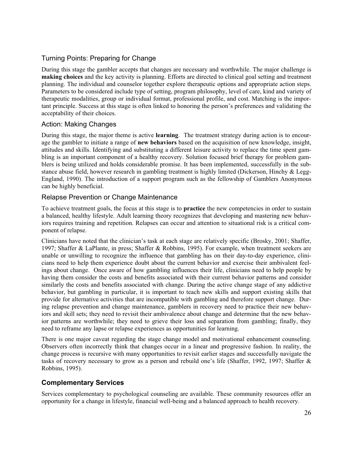# Turning Points: Preparing for Change

During this stage the gambler accepts that changes are necessary and worthwhile. The major challenge is **making choices** and the key activity is planning. Efforts are directed to clinical goal setting and treatment planning. The individual and counselor together explore therapeutic options and appropriate action steps. Parameters to be considered include type of setting, program philosophy, level of care, kind and variety of therapeutic modalities, group or individual format, professional profile, and cost. Matching is the important principle. Success at this stage is often linked to honoring the person's preferences and validating the acceptability of their choices.

### Action: Making Changes

During this stage, the major theme is active **learning**. The treatment strategy during action is to encourage the gambler to initiate a range of **new behaviors** based on the acquisition of new knowledge, insight, attitudes and skills. Identifying and substituting a different leisure activity to replace the time spent gambling is an important component of a healthy recovery. Solution focused brief therapy for problem gamblers is being utilized and holds considerable promise. It has been implemented, successfully in the substance abuse field, however research in gambling treatment is highly limited (Dickerson, Hinchy & Legg-England, 1990). The introduction of a support program such as the fellowship of Gamblers Anonymous can be highly beneficial.

### Relapse Prevention or Change Maintenance

To achieve treatment goals, the focus at this stage is to **practice** the new competencies in order to sustain a balanced, healthy lifestyle. Adult learning theory recognizes that developing and mastering new behaviors requires training and repetition. Relapses can occur and attention to situational risk is a critical component of relapse.

Clinicians have noted that the clinician's task at each stage are relatively specific (Brosky, 2001; Shaffer, 1997; Shaffer & LaPlante, in press; Shaffer & Robbins, 1995). For example, when treatment seekers are unable or unwilling to recognize the influence that gambling has on their day-to-day experience, clinicians need to help them experience doubt about the current behavior and exercise their ambivalent feelings about change. Once aware of how gambling influences their life, clinicians need to help people by having them consider the costs and benefits associated with their current behavior patterns and consider similarly the costs and benefits associated with change. During the active change stage of any addictive behavior, but gambling in particular, it is important to teach new skills and support existing skills that provide for alternative activities that are incompatible with gambling and therefore support change. During relapse prevention and change maintenance, gamblers in recovery need to practice their new behaviors and skill sets; they need to revisit their ambivalence about change and determine that the new behavior patterns are worthwhile; they need to grieve their loss and separation from gambling; finally, they need to reframe any lapse or relapse experiences as opportunities for learning.

There is one major caveat regarding the stage change model and motivational enhancement counseling. Observers often incorrectly think that changes occur in a linear and progressive fashion. In reality, the change process is recursive with many opportunities to revisit earlier stages and successfully navigate the tasks of recovery necessary to grow as a person and rebuild one's life (Shaffer, 1992, 1997; Shaffer & Robbins, 1995).

# **Complementary Services**

Services complementary to psychological counseling are available. These community resources offer an opportunity for a change in lifestyle, financial well-being and a balanced approach to health recovery.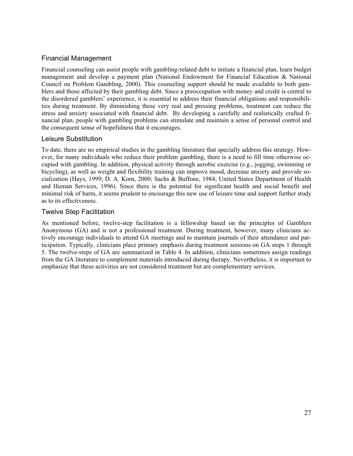# Financial Management

Financial counseling can assist people with gambling-related debt to initiate a financial plan, learn budget management and develop a payment plan (National Endowment for Financial Education & National Council on Problem Gambling, 2000). This counseling support should be made available to both gamblers and those affected by their gambling debt. Since a preoccupation with money and credit is central to the disordered gamblers' experience, it is essential to address their financial obligations and responsibilities during treatment. By diminishing these very real and pressing problems, treatment can reduce the stress and anxiety associated with financial debt. By developing a carefully and realistically crafted financial plan, people with gambling problems can stimulate and maintain a sense of personal control and the consequent sense of hopefulness that it encourages.

### Leisure Substitution

To date, there are no empirical studies in the gambling literature that specially address this strategy. However, for many individuals who reduce their problem gambling, there is a need to fill time otherwise occupied with gambling. In addition, physical activity through aerobic exercise (e.g., jogging, swimming or bicycling), as well as weight and flexibility training can improve mood, decrease anxiety and provide socialization (Hays, 1999; D. A. Korn, 2000; Sachs & Buffone, 1984; United States Department of Health and Human Services, 1996). Since there is the potential for significant health and social benefit and minimal risk of harm, it seems prudent to encourage this new use of leisure time and support further study as to its effectiveness.

# Twelve Step Facilitation

As mentioned before, twelve-step facilitation is a fellowship based on the principles of Gamblers Anonymous (GA) and is not a professional treatment. During treatment, however, many clinicians actively encourage individuals to attend GA meetings and to maintain journals of their attendance and participation. Typically, clinicians place primary emphasis during treatment sessions on GA steps 1 through 5. The twelve-steps of GA are summarized in Table 4. In addition, clinicians sometimes assign readings from the GA literature to complement materials introduced during therapy. Nevertheless, it is important to emphasize that these activities are not considered treatment but are complementary services.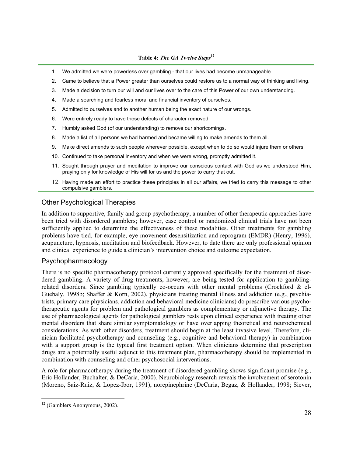### **Table 4:** *The GA Twelve Steps***<sup>12</sup>**

- 1. We admitted we were powerless over gambling that our lives had become unmanageable.
- 2. Came to believe that a Power greater than ourselves could restore us to a normal way of thinking and living.
- 3. Made a decision to turn our will and our lives over to the care of this Power of our own understanding.
- 4. Made a searching and fearless moral and financial inventory of ourselves.
- 5. Admitted to ourselves and to another human being the exact nature of our wrongs.
- 6. Were entirely ready to have these defects of character removed.
- 7. Humbly asked God (of our understanding) to remove our shortcomings.
- 8. Made a list of all persons we had harmed and became willing to make amends to them all.
- 9. Make direct amends to such people wherever possible, except when to do so would injure them or others.
- 10. Continued to take personal inventory and when we were wrong, promptly admitted it.
- 11. Sought through prayer and meditation to improve our conscious contact with God as we understood Him, praying only for knowledge of His will for us and the power to carry that out.
- 12. Having made an effort to practice these principles in all our affairs, we tried to carry this message to other compulsive gamblers.

# Other Psychological Therapies

In addition to supportive, family and group psychotherapy, a number of other therapeutic approaches have been tried with disordered gamblers; however, case control or randomized clinical trials have not been sufficiently applied to determine the effectiveness of these modalities. Other treatments for gambling problems have tied, for example, eye movement desensitization and reprogram (EMDR) (Henry, 1996), acupuncture, hypnosis, meditation and biofeedback. However, to date there are only professional opinion and clinical experience to guide a clinician's intervention choice and outcome expectation.

### Psychopharmacology

There is no specific pharmacotherapy protocol currently approved specifically for the treatment of disordered gambling. A variety of drug treatments, however, are being tested for application to gamblingrelated disorders. Since gambling typically co-occurs with other mental problems (Crockford & el-Guebaly, 1998b; Shaffer & Korn, 2002), physicians treating mental illness and addiction (e.g., psychiatrists, primary care physicians, addiction and behavioral medicine clinicians) do prescribe various psychotherapeutic agents for problem and pathological gamblers as complementary or adjunctive therapy. The use of pharmacological agents for pathological gamblers rests upon clinical experience with treating other mental disorders that share similar symptomatology or have overlapping theoretical and neurochemical considerations. As with other disorders, treatment should begin at the least invasive level. Therefore, clinician facilitated psychotherapy and counseling (e.g., cognitive and behavioral therapy) in combination with a support group is the typical first treatment option. When clinicians determine that prescription drugs are a potentially useful adjunct to this treatment plan, pharmacotherapy should be implemented in combination with counseling and other psychosocial interventions.

A role for pharmacotherapy during the treatment of disordered gambling shows significant promise (e.g., Eric Hollander, Buchalter, & DeCaria, 2000). Neurobiology research reveals the involvement of serotonin (Moreno, Saiz-Ruiz, & Lopez-Ibor, 1991), norepinephrine (DeCaria, Begaz, & Hollander, 1998; Siever,

<sup>12 (</sup>Gamblers Anonymous, 2002).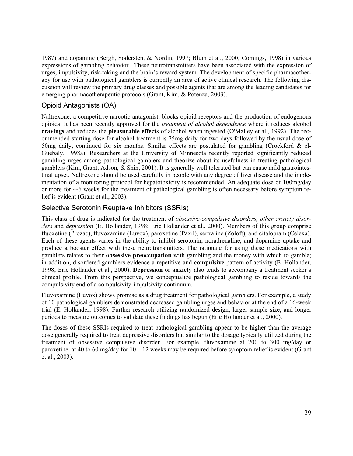1987) and dopamine (Bergh, Sodersten, & Nordin, 1997; Blum et al., 2000; Comings, 1998) in various expressions of gambling behavior. These neurotransmitters have been associated with the expression of urges, impulsivity, risk-taking and the brain's reward system. The development of specific pharmacotherapy for use with pathological gamblers is currently an area of active clinical research. The following discussion will review the primary drug classes and possible agents that are among the leading candidates for emerging pharmacotherapeutic protocols (Grant, Kim, & Potenza, 2003).

# Opioid Antagonists (OA)

Naltrexone, a competitive narcotic antagonist, blocks opioid receptors and the production of endogenous opioids. It has been recently approved for the *treatment of alcohol dependence* where it reduces alcohol **cravings** and reduces the **pleasurable effects** of alcohol when ingested (O'Malley et al., 1992). The recommended starting dose for alcohol treatment is 25mg daily for two days followed by the usual dose of 50mg daily, continued for six months. Similar effects are postulated for gambling (Crockford & el-Guebaly, 1998a). Researchers at the University of Minnesota recently reported significantly reduced gambling urges among pathological gamblers and theorize about its usefulness in treating pathological gamblers (Kim, Grant, Adson, & Shin, 2001). It is generally well tolerated but can cause mild gastrointestinal upset. Naltrexone should be used carefully in people with any degree of liver disease and the implementation of a monitoring protocol for hepatotoxicity is recommended. An adequate dose of 100mg/day or more for 4-6 weeks for the treatment of pathological gambling is often necessary before symptom relief is evident (Grant et al., 2003).

### Selective Serotonin Reuptake Inhibitors (SSRIs)

This class of drug is indicated for the treatment of *obsessive-compulsive disorders, other anxiety disorders* and *depression* (E. Hollander, 1998; Eric Hollander et al., 2000). Members of this group comprise fluoxetine (Prozac), fluvoxamine (Luvox), paroxetine (Paxil), sertraline (Zoloft), and citalopram (Celexa). Each of these agents varies in the ability to inhibit serotonin, noradrenaline, and dopamine uptake and produce a booster effect with these neurotransmitters. The rationale for using these medications with gamblers relates to their **obsessive preoccupation** with gambling and the money with which to gamble; in addition, disordered gamblers evidence a repetitive and **compulsive** pattern of activity (E. Hollander, 1998; Eric Hollander et al., 2000). **Depression** or **anxiety** also tends to accompany a treatment seeker's clinical profile. From this perspective, we conceptualize pathological gambling to reside towards the compulsivity end of a compulsivity-impulsivity continuum.

Fluvoxamine (Luvox) shows promise as a drug treatment for pathological gamblers. For example, a study of 10 pathological gamblers demonstrated decreased gambling urges and behavior at the end of a 16-week trial (E. Hollander, 1998). Further research utilizing randomized design, larger sample size, and longer periods to measure outcomes to validate these findings has begun (Eric Hollander et al., 2000).

The doses of these SSRIs required to treat pathological gambling appear to be higher than the average dose generally required to treat depressive disorders but similar to the dosage typically utilized during the treatment of obsessive compulsive disorder. For example, fluvoxamine at 200 to 300 mg/day or paroxetine at 40 to 60 mg/day for  $10 - 12$  weeks may be required before symptom relief is evident (Grant et al., 2003).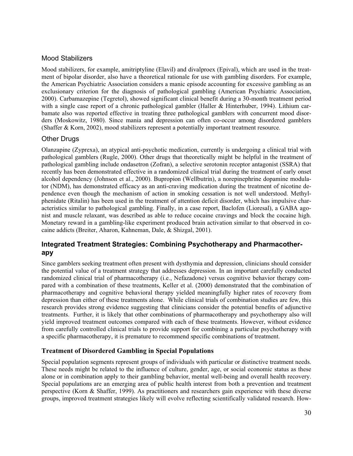## Mood Stabilizers

Mood stabilizers, for example, amitriptyline (Elavil) and divalproex (Epival), which are used in the treatment of bipolar disorder, also have a theoretical rationale for use with gambling disorders. For example, the American Psychiatric Association considers a manic episode accounting for excessive gambling as an exclusionary criterion for the diagnosis of pathological gambling (American Psychiatric Association, 2000). Carbamazepine (Tegretol), showed significant clinical benefit during a 30-month treatment period with a single case report of a chronic pathological gambler (Haller & Hinterhuber, 1994). Lithium carbamate also was reported effective in treating three pathological gamblers with concurrent mood disorders (Moskowitz, 1980). Since mania and depression can often co-occur among disordered gamblers (Shaffer & Korn, 2002), mood stabilizers represent a potentially important treatment resource.

# Other Drugs

Olanzapine (Zyprexa), an atypical anti-psychotic medication, currently is undergoing a clinical trial with pathological gamblers (Rugle, 2000). Other drugs that theoretically might be helpful in the treatment of pathological gambling include ondasetron (Zofran), a selective serotonin receptor antagonist (SSRA) that recently has been demonstrated effective in a randomized clinical trial during the treatment of early onset alcohol dependency (Johnson et al., 2000). Bupropion (Wellbutrin), a norepinephrine dopamine modulator (NDM), has demonstrated efficacy as an anti-craving medication during the treatment of nicotine dependence even though the mechanism of action in smoking cessation is not well understood. Methylphenidate (Ritalin) has been used in the treatment of attention deficit disorder, which has impulsive characteristics similar to pathological gambling. Finally, in a case report, Baclofen (Lioresal), a GABA agonist and muscle relaxant, was described as able to reduce cocaine cravings and block the cocaine high. Monetary reward in a gambling-like experiment produced brain activation similar to that observed in cocaine addicts (Breiter, Aharon, Kahneman, Dale, & Shizgal, 2001).

# **Integrated Treatment Strategies: Combining Psychotherapy and Pharmacotherapy**

Since gamblers seeking treatment often present with dysthymia and depression, clinicians should consider the potential value of a treatment strategy that addresses depression. In an important carefully conducted randomized clinical trial of pharmacotherapy (i.e., Nefazadone) versus cognitive behavior therapy compared with a combination of these treatments, Keller et al. (2000) demonstrated that the combination of pharmacotherapy and cognitive behavioral therapy yielded meaningfully higher rates of recovery from depression than either of these treatments alone. While clinical trials of combination studies are few, this research provides strong evidence suggesting that clinicians consider the potential benefits of adjunctive treatments. Further, it is likely that other combinations of pharmacotherapy and psychotherapy also will yield improved treatment outcomes compared with each of these treatments. However, without evidence from carefully controlled clinical trials to provide support for combining a particular psychotherapy with a specific pharmacotherapy, it is premature to recommend specific combinations of treatment.

### **Treatment of Disordered Gambling in Special Populations**

Special population segments represent groups of individuals with particular or distinctive treatment needs. These needs might be related to the influence of culture, gender, age, or social economic status as these alone or in combination apply to their gambling behavior, mental well-being and overall health recovery. Special populations are an emerging area of public health interest from both a prevention and treatment perspective (Korn & Shaffer, 1999). As practitioners and researchers gain experience with these diverse groups, improved treatment strategies likely will evolve reflecting scientifically validated research. How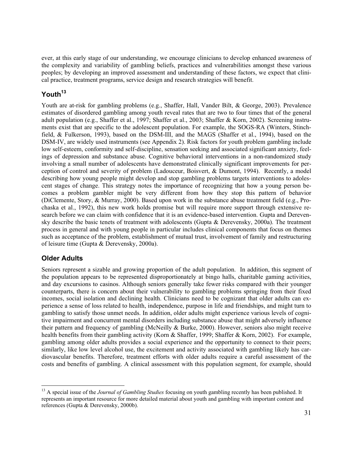ever, at this early stage of our understanding, we encourage clinicians to develop enhanced awareness of the complexity and variability of gambling beliefs, practices and vulnerabilities amongst these various peoples; by developing an improved assessment and understanding of these factors, we expect that clinical practice, treatment programs, service design and research strategies will benefit.

# Youth<sup>13</sup>

Youth are at-risk for gambling problems (e.g., Shaffer, Hall, Vander Bilt, & George, 2003). Prevalence estimates of disordered gambling among youth reveal rates that are two to four times that of the general adult population (e.g., Shaffer et al., 1997; Shaffer et al., 2003; Shaffer & Korn, 2002). Screening instruments exist that are specific to the adolescent population. For example, the SOGS-RA (Winters, Stinchfield, & Fulkerson, 1993), based on the DSM-III, and the MAGS (Shaffer et al., 1994), based on the DSM-IV, are widely used instruments (see Appendix 2). Risk factors for youth problem gambling include low self-esteem, conformity and self-discipline, sensation seeking and associated significant anxiety, feelings of depression and substance abuse. Cognitive behavioral interventions in a non-randomized study involving a small number of adolescents have demonstrated clinically significant improvements for perception of control and severity of problem (Ladouceur, Boisvert, & Dumont, 1994). Recently, a model describing how young people might develop and stop gambling problems targets interventions to adolescent stages of change. This strategy notes the importance of recognizing that how a young person becomes a problem gambler might be very different from how they stop this pattern of behavior (DiClemente, Story, & Murray, 2000). Based upon work in the substance abuse treatment field (e.g., Prochaska et al., 1992), this new work holds promise but will require more support through extensive research before we can claim with confidence that it is an evidence-based intervention. Gupta and Derevensky describe the basic tenets of treatment with adolescents (Gupta & Derevensky, 2000a). The treatment process in general and with young people in particular includes clinical components that focus on themes such as acceptance of the problem, establishment of mutual trust, involvement of family and restructuring of leisure time (Gupta & Derevensky, 2000a).

# **Older Adults**

Seniors represent a sizable and growing proportion of the adult population. In addition, this segment of the population appears to be represented disproportionately at bingo halls, charitable gaming activities, and day excursions to casinos. Although seniors generally take fewer risks compared with their younger counterparts, there is concern about their vulnerability to gambling problems springing from their fixed incomes, social isolation and declining health. Clinicians need to be cognizant that older adults can experience a sense of loss related to health, independence, purpose in life and friendships, and might turn to gambling to satisfy those unmet needs. In addition, older adults might experience various levels of cognitive impairment and concurrent mental disorders including substance abuse that might adversely influence their pattern and frequency of gambling (McNeilly & Burke, 2000). However, seniors also might receive health benefits from their gambling activity (Korn & Shaffer, 1999; Shaffer & Korn, 2002). For example, gambling among older adults provides a social experience and the opportunity to connect to their peers; similarly, like low level alcohol use, the excitement and activity associated with gambling likely has cardiovascular benefits. Therefore, treatment efforts with older adults require a careful assessment of the costs and benefits of gambling. A clinical assessment with this population segment, for example, should

<sup>&</sup>lt;sup>13</sup> A special issue of the *Journal of Gambling Studies* focusing on youth gambling recently has been published. It represents an important resource for more detailed material about youth and gambling with important content and references (Gupta & Derevensky, 2000b).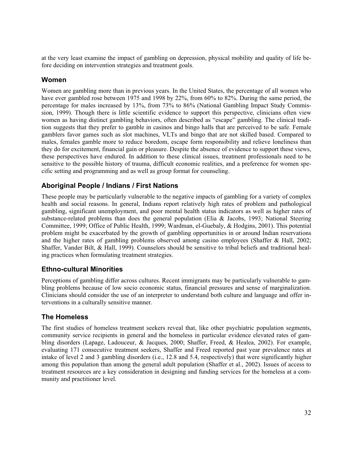at the very least examine the impact of gambling on depression, physical mobility and quality of life before deciding on intervention strategies and treatment goals.

### **Women**

Women are gambling more than in previous years. In the United States, the percentage of all women who have ever gambled rose between 1975 and 1998 by 22%, from 60% to 82%. During the same period, the percentage for males increased by 13%, from 73% to 86% (National Gambling Impact Study Commission, 1999). Though there is little scientific evidence to support this perspective, clinicians often view women as having distinct gambling behaviors, often described as "escape" gambling. The clinical tradition suggests that they prefer to gamble in casinos and bingo halls that are perceived to be safe. Female gamblers favor games such as slot machines, VLTs and bingo that are not skilled based. Compared to males, females gamble more to reduce boredom, escape form responsibility and relieve loneliness than they do for excitement, financial gain or pleasure. Despite the absence of evidence to support these views, these perspectives have endured. In addition to these clinical issues, treatment professionals need to be sensitive to the possible history of trauma, difficult economic realities, and a preference for women specific setting and programming and as well as group format for counseling.

### **Aboriginal People / Indians / First Nations**

These people may be particularly vulnerable to the negative impacts of gambling for a variety of complex health and social reasons. In general, Indians report relatively high rates of problem and pathological gambling, significant unemployment, and poor mental health status indicators as well as higher rates of substance-related problems than does the general population (Elia & Jacobs, 1993; National Steering Committee, 1999; Office of Public Health, 1999; Wardman, el-Guebaly, & Hodgins, 2001). This potential problem might be exacerbated by the growth of gambling opportunities in or around Indian reservations and the higher rates of gambling problems observed among casino employees (Shaffer & Hall, 2002; Shaffer, Vander Bilt, & Hall, 1999). Counselors should be sensitive to tribal beliefs and traditional healing practices when formulating treatment strategies.

### **Ethno-cultural Minorities**

Perceptions of gambling differ across cultures. Recent immigrants may be particularly vulnerable to gambling problems because of low socio economic status, financial pressures and sense of marginalization. Clinicians should consider the use of an interpreter to understand both culture and language and offer interventions in a culturally sensitive manner.

### **The Homeless**

The first studies of homeless treatment seekers reveal that, like other psychiatric population segments, community service recipients in general and the homeless in particular evidence elevated rates of gambling disorders (Lapage, Ladouceur, & Jacques, 2000; Shaffer, Freed, & Healea, 2002). For example, evaluating 171 consecutive treatment seekers, Shaffer and Freed reported past year prevalence rates at intake of level 2 and 3 gambling disorders (i.e., 12.8 and 5.4, respectively) that were significantly higher among this population than among the general adult population (Shaffer et al., 2002). Issues of access to treatment resources are a key consideration in designing and funding services for the homeless at a community and practitioner level.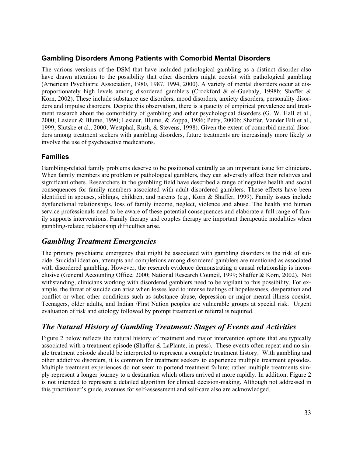# **Gambling Disorders Among Patients with Comorbid Mental Disorders**

The various versions of the DSM that have included pathological gambling as a distinct disorder also have drawn attention to the possibility that other disorders might coexist with pathological gambling (American Psychiatric Association, 1980, 1987, 1994, 2000). A variety of mental disorders occur at disproportionately high levels among disordered gamblers (Crockford & el-Guebaly, 1998b; Shaffer & Korn, 2002). These include substance use disorders, mood disorders, anxiety disorders, personality disorders and impulse disorders. Despite this observation, there is a paucity of empirical prevalence and treatment research about the comorbidity of gambling and other psychological disorders (G. W. Hall et al., 2000; Lesieur & Blume, 1990; Lesieur, Blume, & Zoppa, 1986; Petry, 2000b; Shaffer, Vander Bilt et al., 1999; Slutske et al., 2000; Westphal, Rush, & Stevens, 1998). Given the extent of comorbid mental disorders among treatment seekers with gambling disorders, future treatments are increasingly more likely to involve the use of psychoactive medications.

# **Families**

Gambling-related family problems deserve to be positioned centrally as an important issue for clinicians. When family members are problem or pathological gamblers, they can adversely affect their relatives and significant others. Researchers in the gambling field have described a range of negative health and social consequences for family members associated with adult disordered gamblers. These effects have been identified in spouses, siblings, children, and parents (e.g., Korn & Shaffer, 1999). Family issues include dysfunctional relationships, loss of family income, neglect, violence and abuse. The health and human service professionals need to be aware of these potential consequences and elaborate a full range of family supports interventions. Family therapy and couples therapy are important therapeutic modalities when gambling-related relationship difficulties arise.

# *Gambling Treatment Emergencies*

The primary psychiatric emergency that might be associated with gambling disorders is the risk of suicide. Suicidal ideation, attempts and completions among disordered gamblers are mentioned as associated with disordered gambling. However, the research evidence demonstrating a causal relationship is inconclusive (General Accounting Office, 2000; National Research Council, 1999; Shaffer & Korn, 2002). Not withstanding, clinicians working with disordered gamblers need to be vigilant to this possibility. For example, the threat of suicide can arise when losses lead to intense feelings of hopelessness, desperation and conflict or when other conditions such as substance abuse, depression or major mental illness coexist. Teenagers, older adults, and Indian /First Nation peoples are vulnerable groups at special risk. Urgent evaluation of risk and etiology followed by prompt treatment or referral is required.

# *The Natural History of Gambling Treatment: Stages of Events and Activities*

Figure 2 below reflects the natural history of treatment and major intervention options that are typically associated with a treatment episode (Shaffer & LaPlante, in press). These events often repeat and no single treatment episode should be interpreted to represent a complete treatment history. With gambling and other addictive disorders, it is common for treatment seekers to experience multiple treatment episodes. Multiple treatment experiences do not seem to portend treatment failure; rather multiple treatments simply represent a longer journey to a destination which others arrived at more rapidly. In addition, Figure 2 is not intended to represent a detailed algorithm for clinical decision-making. Although not addressed in this practitioner's guide, avenues for self-assessment and self-care also are acknowledged.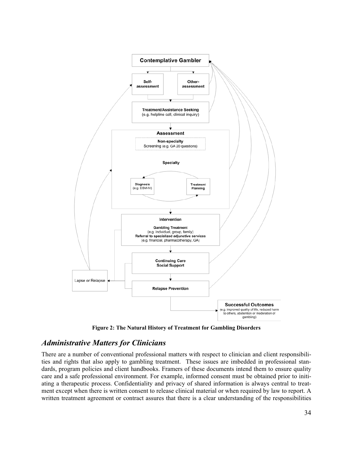

**Figure 2: The Natural History of Treatment for Gambling Disorders** 

# *Administrative Matters for Clinicians*

There are a number of conventional professional matters with respect to clinician and client responsibilities and rights that also apply to gambling treatment. These issues are imbedded in professional standards, program policies and client handbooks. Framers of these documents intend them to ensure quality care and a safe professional environment. For example, informed consent must be obtained prior to initiating a therapeutic process. Confidentiality and privacy of shared information is always central to treatment except when there is written consent to release clinical material or when required by law to report. A written treatment agreement or contract assures that there is a clear understanding of the responsibilities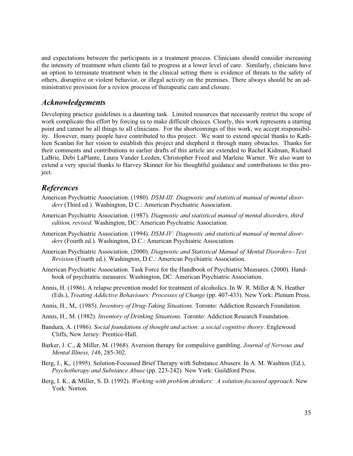and expectations between the participants in a treatment process. Clinicians should consider increasing the intensity of treatment when clients fail to progress at a lower level of care. Similarly, clinicians have an option to terminate treatment when in the clinical setting there is evidence of threats to the safety of others, disruptive or violent behavior, or illegal activity on the premises. There always should be an administrative provision for a review process of therapeutic care and closure.

### *Acknowledgements*

Developing practice guidelines is a daunting task. Limited resources that necessarily restrict the scope of work complicate this effort by forcing us to make difficult choices. Clearly, this work represents a starting point and cannot be all things to all clinicians. For the shortcomings of this work, we accept responsibility. However, many people have contributed to this project. We want to extend special thanks to Kathleen Scanlan for her vision to establish this project and shepherd it through many obstacles. Thanks for their comments and contributions to earlier drafts of this article are extended to Rachel Kidman, Richard LaBrie, Debi LaPlante, Laura Vander Leeden, Christopher Freed and Marlene Warner. We also want to extend a very special thanks to Harvey Skinner for his thoughtful guidance and contributions to this project.

# *References*

- American Psychiatric Association. (1980). *DSM-III: Diagnostic and statistical manual of mental disorders* (Third ed.). Washington, D.C.: American Psychiatric Association.
- American Psychiatric Association. (1987). *Diagnostic and statistical manual of mental disorders, third edition, revised*. Washington, DC: American Psychiatric Association.
- American Psychiatric Association. (1994). *DSM-IV: Diagnostic and statistical manual of mental disorders* (Fourth ed.). Washington, D.C.: American Psychiatric Association.
- American Psychiatric Association. (2000). *Diagnostic and Statistical Manual of Mental Disorders--Text Revision* (Fourth ed.). Washington, D.C.: American Psychiatric Association.
- American Psychiatric Association. Task Force for the Handbook of Psychiatric Measures. (2000). Handbook of psychiatric measures. Washington, DC: American Psychiatric Association.
- Annis, H. (1986). A relapse prevention model for treatment of alcoholics. In W. R. Miller & N. Heather (Eds.), *Treating Addictive Behaviours: Processes of Change* (pp. 407-433). New York: Plenum Press.
- Annis, H., M,. (1985). *Inventory of Drug-Taking Situations*. Toronto: Addiction Research Foundation.
- Annis, H., M. (1982). *Inventory of Drinking Situations*. Toronto: Addiction Research Foundation.
- Bandura, A. (1986). *Social foundations of thought and action: a social cognitive theory*. Englewood Cliffs, New Jersey: Prentice-Hall.
- Barker, J. C., & Miller, M. (1968). Aversion therapy for compulsive gambling. *Journal of Nervous and Mental Illness, 146*, 285-302.
- Berg, I., K,. (1995). Solution-Focussed Brief Therapy with Substance Abusers. In A. M. Washton (Ed.), *Psychotherapy and Substance Abuse* (pp. 223-242). New York: Guildford Press.
- Berg, I. K., & Miller, S. D. (1992). *Working with problem drinkers: A solution-focussed approach*. New York: Norton.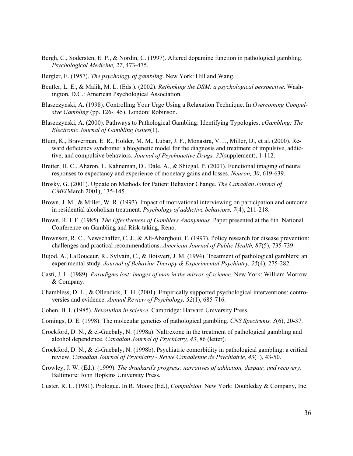- Bergh, C., Sodersten, E. P., & Nordin, C. (1997). Altered dopamine function in pathological gambling. *Psychological Medicine, 27*, 473-475.
- Bergler, E. (1957). *The psychology of gambling*. New York: Hill and Wang.
- Beutler, L. E., & Malik, M. L. (Eds.). (2002). *Rethinking the DSM: a psychological perspective*. Washington, D.C.: American Psychological Association.
- Blaszczynski, A. (1998). Controlling Your Urge Using a Relaxation Technique. In *Overcoming Compulsive Gambling* (pp. 126-145). London: Robinson.
- Blaszczynski, A. (2000). Pathways to Pathological Gambling: Identifying Typologies. *eGambling: The Electronic Journal of Gambling Issues*(1).
- Blum, K., Braverman, E. R., Holder, M. M., Lubar, J. F., Monastra, V. J., Miller, D., et al. (2000). Reward deficiency syndrome: a biogenetic model for the diagnosis and treatment of impulsive, addictive, and compulsive behaviors. *Journal of Psychoactive Drugs, 32*(supplement), 1-112.
- Breiter, H. C., Aharon, I., Kahneman, D., Dale, A., & Shizgal, P. (2001). Functional imaging of neural responses to expectancy and experience of monetary gains and losses. *Neuron, 30*, 619-639.
- Brosky, G. (2001). Update on Methods for Patient Behavior Change. *The Canadian Journal of CME*(March 2001), 135-145.
- Brown, J. M., & Miller, W. R. (1993). Impact of motivational interviewing on participation and outcome in residential alcoholism treatment. *Psychology of addictive behaviors, 7*(4), 211-218.
- Brown, R. I. F. (1985). *The Effectiveness of Gamblers Anonymous.* Paper presented at the 6th National Conference on Gambling and Risk-taking, Reno.
- Brownson, R. C., Newschaffer, C. J., & Ali-Abarghoui, F. (1997). Policy research for disease prevention: challenges and practical recommendations. *American Journal of Public Health, 87*(5), 735-739.
- Bujod, A., LaDouceur, R., Sylvain, C., & Boisvert, J. M. (1994). Treatment of pathological gamblers: an experimental study. *Journal of Behavior Therapy & Experimental Psychiatry, 25*(4), 275-282.
- Casti, J. L. (1989). *Paradigms lost: images of man in the mirror of science*. New York: William Morrow & Company.
- Chambless, D. L., & Ollendick, T. H. (2001). Empirically supported psychological interventions: controversies and evidence. *Annual Review of Psychology, 52*(1), 685-716.
- Cohen, B. I. (1985). *Revolution in science*. Cambridge: Harvard University Press.
- Comings, D. E. (1998). The molecular genetics of pathological gambling. *CNS Spectrums, 3*(6), 20-37.
- Crockford, D. N., & el-Guebaly, N. (1998a). Naltrexone in the treatment of pathological gambling and alcohol dependence. *Canadian Journal of Psychiatry, 43*, 86 (letter).
- Crockford, D. N., & el-Guebaly, N. (1998b). Psychiatric comorbidity in pathological gambling: a critical review. *Canadian Journal of Psychiatry - Revue Canadienne de Psychiatrie, 43*(1), 43-50.
- Crowley, J. W. (Ed.). (1999). *The drunkard's progress: narratives of addiction, despair, and recovery*. Baltimore: John Hopkins University Press.
- Custer, R. L. (1981). Prologue. In R. Moore (Ed.), *Compulsion*. New York: Doubleday & Company, Inc.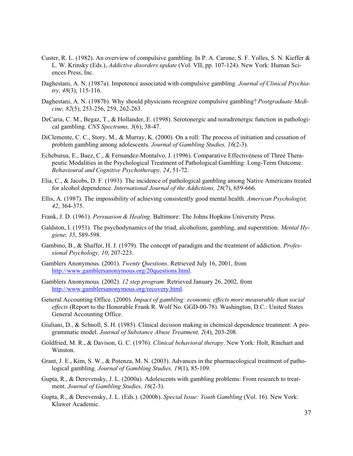- Custer, R. L. (1982). An overview of compulsive gambling. In P. A. Carone, S. F. Yolles, S. N. Kieffer & L. W. Krinsky (Eds.), *Addictive disorders update* (Vol. VII, pp. 107-124). New York: Human Sciences Press, Inc.
- Daghestani, A. N. (1987a). Impotence associated with compulsive gambling. *Journal of Clinical Psychiatry, 48*(3), 115-116.
- Daghestani, A. N. (1987b). Why should physicians recognize compulsive gambling? *Postgraduate Medicine, 82*(5), 253-256, 259, 262-263.
- DeCaria, C. M., Begaz, T., & Hollander, E. (1998). Serotonergic and noradrenergic function in pathological gambling. *CNS Spectrums, 3*(6), 38-47.
- DiClemente, C. C., Story, M., & Murray, K. (2000). On a roll: The process of initiation and cessation of problem gambling among adolescents. *Journal of Gambling Studies, 16*(2-3).
- Echeburua, E., Baez, C., & Fernandez-Montalvo, J. (1996). Comparative Effectiveness of Three Therapeutic Modalities in the Psychological Treatment of Pathological Gambling: Long-Term Outcome. *Behavioural and Cognitive Psychotherapy, 24*, 51-72.
- Elia, C., & Jacobs, D. F. (1993). The incidence of pathological gambling among Native Americans treated for alcohol dependence. *International Journal of the Addictions, 28*(7), 659-666.
- Ellis, A. (1987). The impossibility of achieving consistently good mental health. *American Psychologist, 42*, 364-375.
- Frank, J. D. (1961). *Persuasion & Healing*. Baltimore: The Johns Hopkins University Press.
- Galdston, I. (1951). The psychodynamics of the triad, alcoholism, gambling, and superstition. *Mental Hygiene, 35*, 589-598.
- Gambino, B., & Shaffer, H. J. (1979). The concept of paradigm and the treatment of addiction. *Professional Psychology, 10*, 207-223.
- Gamblers Anonymous. (2001). *Twenty Questions*. Retrieved July 16, 2001, from http://www.gamblersanonymous.org/20questions.html.
- Gamblers Anonymous. (2002). *12 step program*. Retrieved January 26, 2002, from http://www.gamblersanonymous.org/recovery.html.
- General Accounting Office. (2000). *Impact of gambling: economic effects more measurable than social effects* (Report to the Honorable Frank R. Wolf No. GGD-00-78). Washington, D.C.: United States General Accounting Office.
- Giuliani, D., & Schnoll, S. H. (1985). Clinical decision making in chemical dependence treatment: A programmatic model. *Journal of Substance Abuse Treatment, 2*(4), 203-208.
- Goldfried, M. R., & Davison, G. C. (1976). *Clinical behavioral therapy*. New York: Holt, Rinehart and Winston.
- Grant, J. E., Kim, S. W., & Potenza, M. N. (2003). Advances in the pharmacological treatment of pathological gambling. *Journal of Gambling Studies, 19*(1), 85-109.
- Gupta, R., & Derevensky, J. L. (2000a). Adolescents with gambling problems: From research to treatment. *Journal of Gambling Studies, 16*(2-3).
- Gupta, R., & Derevensky, J. L. (Eds.). (2000b). *Special Issue: Youth Gambling* (Vol. 16). New York: Kluwer Academic.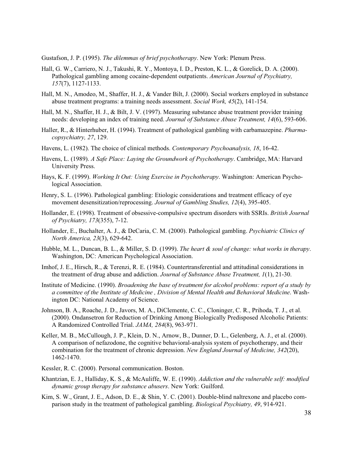Gustafson, J. P. (1995). *The dilemmas of brief psychotherapy*. New York: Plenum Press.

- Hall, G. W., Carriero, N. J., Takushi, R. Y., Montoya, I. D., Preston, K. L., & Gorelick, D. A. (2000). Pathological gambling among cocaine-dependent outpatients. *American Journal of Psychiatry, 157*(7), 1127-1133.
- Hall, M. N., Amodeo, M., Shaffer, H. J., & Vander Bilt, J. (2000). Social workers employed in substance abuse treatment programs: a training needs assessment. *Social Work, 45*(2), 141-154.
- Hall, M. N., Shaffer, H. J., & Bilt, J. V. (1997). Measuring substance abuse treatment provider training needs: developing an index of training need. *Journal of Substance Abuse Treatment, 14*(6), 593-606.
- Haller, R., & Hinterhuber, H. (1994). Treatment of pathological gambling with carbamazepine. *Pharmacopsychiatry, 27*, 129.
- Havens, L. (1982). The choice of clinical methods. *Contemporary Psychoanalysis, 18*, 16-42.
- Havens, L. (1989). *A Safe Place: Laying the Groundwork of Psychotherapy*. Cambridge, MA: Harvard University Press.
- Hays, K. F. (1999). *Working It Out: Using Exercise in Psychotherapy*. Washington: American Psychological Association.
- Henry, S. L. (1996). Pathological gambling: Etiologic considerations and treatment efficacy of eye movement desensitization/reprocessing. *Journal of Gambling Studies, 12*(4), 395-405.
- Hollander, E. (1998). Treatment of obsessive-compulsive spectrum disorders with SSRIs. *British Journal of Psychiatry, 173*(355), 7-12.
- Hollander, E., Buchalter, A. J., & DeCaria, C. M. (2000). Pathological gambling. *Psychiatric Clinics of North America, 23*(3), 629-642.
- Hubble, M. L., Duncan, B. L., & Miller, S. D. (1999). *The heart & soul of change: what works in therapy*. Washington, DC: American Psychological Association.
- Imhof, J. E., Hirsch, R., & Terenzi, R. E. (1984). Countertransferential and attitudinal considerations in the treatment of drug abuse and addiction. *Journal of Substance Abuse Treatment, 1*(1), 21-30.
- Institute of Medicine. (1990). *Broadening the base of treatment for alcohol problems: report of a study by a committee of the Institute of Medicine , Division of Mental Health and Behavioral Medicine*. Washington DC: National Academy of Science.
- Johnson, B. A., Roache, J. D., Javors, M. A., DiClemente, C. C., Cloninger, C. R., Prihoda, T. J., et al. (2000). Ondansetron for Reduction of Drinking Among Biologically Predisposed Alcoholic Patients: A Randomized Controlled Trial. *JAMA, 284*(8), 963-971.
- Keller, M. B., McCullough, J. P., Klein, D. N., Arnow, B., Dunner, D. L., Gelenberg, A. J., et al. (2000). A comparison of nefazodone, the cognitive behavioral-analysis system of psychotherapy, and their combination for the treatment of chronic depression. *New England Journal of Medicine, 342*(20), 1462-1470.
- Kessler, R. C. (2000). Personal communication. Boston.
- Khantzian, E. J., Halliday, K. S., & McAuliffe, W. E. (1990). *Addiction and the vulnerable self: modified dynamic group therapy for substance abusers*. New York: Guilford.
- Kim, S. W., Grant, J. E., Adson, D. E., & Shin, Y. C. (2001). Double-blind naltrexone and placebo comparison study in the treatment of pathological gambling. *Biological Psychiatry, 49*, 914-921.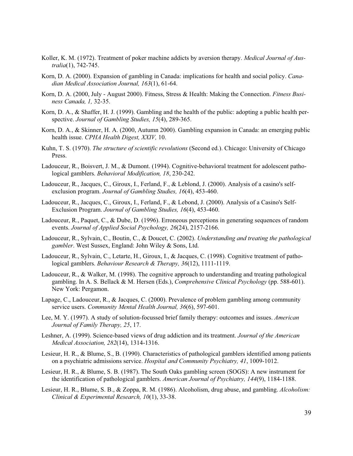- Koller, K. M. (1972). Treatment of poker machine addicts by aversion therapy. *Medical Journal of Australia*(1), 742-745.
- Korn, D. A. (2000). Expansion of gambling in Canada: implications for health and social policy. *Canadian Medical Association Journal, 163*(1), 61-64.
- Korn, D. A. (2000, July August 2000). Fitness, Stress & Health: Making the Connection. *Fitness Business Canada, 1,* 32-35.
- Korn, D. A., & Shaffer, H. J. (1999). Gambling and the health of the public: adopting a public health perspective. *Journal of Gambling Studies, 15*(4), 289-365.
- Korn, D. A., & Skinner, H. A. (2000, Autumn 2000). Gambling expansion in Canada: an emerging public health issue. *CPHA Health Digest, XXIV,* 10.
- Kuhn, T. S. (1970). *The structure of scientific revolutions* (Second ed.). Chicago: University of Chicago Press.
- Ladouceur, R., Boisvert, J. M., & Dumont. (1994). Cognitive-behavioral treatment for adolescent pathological gamblers. *Behavioral Modification, 18*, 230-242.
- Ladouceur, R., Jacques, C., Giroux, I., Ferland, F., & Leblond, J. (2000). Analysis of a casino's selfexclusion program. *Journal of Gambling Studies, 16*(4), 453-460.
- Ladouceur, R., Jacques, C., Giroux, I., Ferland, F., & Lebond, J. (2000). Analysis of a Casino's Self-Exclusion Program. *Journal of Gambling Studies, 16*(4), 453-460.
- Ladouceur, R., Paquet, C., & Dube, D. (1996). Erroneous perceptions in generating sequences of random events. *Journal of Applied Social Psychology, 26*(24), 2157-2166.
- Ladouceur, R., Sylvain, C., Boutin, C., & Doucet, C. (2002). *Understanding and treating the pathological gambler*. West Sussex, England: John Wiley & Sons, Ltd.
- Ladouceur, R., Sylvain, C., Letarte, H., Giroux, I., & Jacques, C. (1998). Cognitive treatment of pathological gamblers. *Behaviour Research & Therapy, 36*(12), 1111-1119.
- Ladouceur, R., & Walker, M. (1998). The cognitive approach to understanding and treating pathological gambling. In A. S. Bellack & M. Hersen (Eds.), *Comprehensive Clinical Psychology* (pp. 588-601). New York: Pergamon.
- Lapage, C., Ladouceur, R., & Jacques, C. (2000). Prevalence of problem gambling among community service users. *Community Mental Health Journal, 36*(6), 597-601.
- Lee, M. Y. (1997). A study of solution-focussed brief family therapy: outcomes and issues. *American Journal of Family Therapy, 25*, 17.
- Leshner, A. (1999). Science-based views of drug addiction and its treatment. *Journal of the American Medical Association, 282*(14), 1314-1316.
- Lesieur, H. R., & Blume, S., B. (1990). Characteristics of pathological gamblers identified among patients on a psychiatric admissions service. *Hospital and Community Psychiatry, 41*, 1009-1012.
- Lesieur, H. R., & Blume, S. B. (1987). The South Oaks gambling screen (SOGS): A new instrument for the identification of pathological gamblers. *American Journal of Psychiatry, 144*(9), 1184-1188.
- Lesieur, H. R., Blume, S. B., & Zoppa, R. M. (1986). Alcoholism, drug abuse, and gambling. *Alcoholism: Clinical & Experimental Research, 10*(1), 33-38.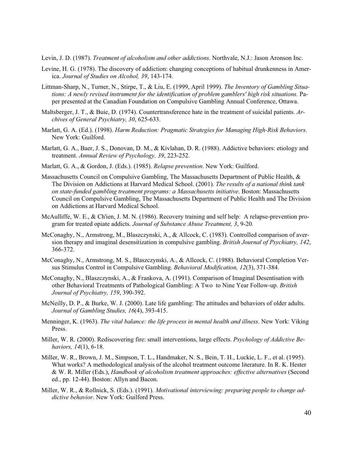Levin, J. D. (1987). *Treatment of alcoholism and other addictions*. Northvale, N.J.: Jason Aronson Inc.

- Levine, H. G. (1978). The discovery of addiction: changing conceptions of habitual drunkenness in America. *Journal of Studies on Alcohol, 39*, 143-174.
- Littman-Sharp, N., Turner, N., Stirpe, T., & Liu, E. (1999, April 1999). *The Inventory of Gambling Situations: A newly revised instrument for the identification of problem gamblers' high risk situations.* Paper presented at the Canadian Foundation on Compulsive Gambling Annual Conference, Ottawa.
- Maltsberger, J. T., & Buie, D. (1974). Countertransference hate in the treatment of suicidal patients. *Archives of General Psychiatry, 30*, 625-633.
- Marlatt, G. A. (Ed.). (1998). *Harm Reduction: Pragmatic Strategies for Managing High-Risk Behaviors*. New York: Guilford.
- Marlatt, G. A., Baer, J. S., Donovan, D. M., & Kivlahan, D. R. (1988). Addictive behaviors: etiology and treatment. *Annual Review of Psychology, 39*, 223-252.
- Marlatt, G. A., & Gordon, J. (Eds.). (1985). *Relapse prevention*. New York: Guilford.
- Massachusetts Council on Compulsive Gambling, The Massachusetts Department of Public Health, & The Division on Addictions at Harvard Medical School. (2001). *The results of a national think tank on state-funded gambling treatment programs: a Massachusetts initiative*. Boston: Massachusetts Council on Compulsive Gambling, The Massachusetts Department of Public Health and The Division on Addictions at Harvard Medical School.
- McAulliffe, W. E., & Ch'ien, J. M. N. (1986). Recovery training and self help: A relapse-prevention program for treated opiate addicts. *Journal of Substance Abuse Treatment, 3*, 9-20.
- McConaghy, N., Armstrong, M., Blaszczynski, A., & Allcock, C. (1983). Controlled comparison of aversion therapy and imaginal desensitization in compulsive gambling. *British Journal of Psychiatry, 142*, 366-372.
- McConaghy, N., Armstrong, M. S., Blaszczynski, A., & Allcock, C. (1988). Behavioral Completion Versus Stimulus Control in Compulsive Gambling. *Behavioral Modification, 12*(3), 371-384.
- McConaghy, N., Blaszczynski, A., & Frankova, A. (1991). Comparison of Imaginal Desentisation with other Behavioral Treatments of Pathological Gambling: A Two to Nine Year Follow-up. *British Journal of Psychiatry, 159*, 390-392.
- McNeilly, D. P., & Burke, W. J. (2000). Late life gambling: The attitudes and behaviors of older adults. *Journal of Gambling Studies, 16*(4), 393-415.
- Menninger, K. (1963). *The vital balance: the life process in mental health and illness*. New York: Viking Press.
- Miller, W. R. (2000). Rediscovering fire: small interventions, large effects. *Psychology of Addictive Behaviors, 14*(1), 6-18.
- Miller, W. R., Brown, J. M., Simpson, T. L., Handmaker, N. S., Bein, T. H., Luckie, L. F., et al. (1995). What works? A methodological analysis of the alcohol treatment outcome literature. In R. K. Hester & W. R. Miller (Eds.), *Handbook of alcoholism treatment approaches: effective alternatives* (Second ed., pp. 12-44). Boston: Allyn and Bacon.
- Miller, W. R., & Rollnick, S. (Eds.). (1991). *Motivational interviewing: preparing people to change addictive behavior*. New York: Guilford Press.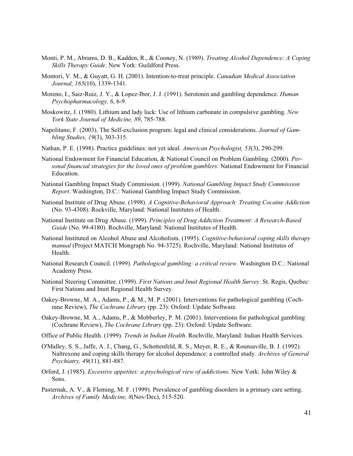- Monti, P. M., Abrams, D. B., Kadden, R., & Cooney, N. (1989). *Treating Alcohol Dependence: A Coping Skills Therapy Guide*. New York: Guildford Press.
- Montori, V. M., & Guyatt, G. H. (2001). Intention-to-treat principle. *Canadian Medical Association Journal, 165*(10), 1339-1341.
- Moreno, I., Saiz-Ruiz, J. Y., & Lopez-Ibor, J. J. (1991). Serotonin and gambling dependence. *Human Psychopharmacology, 6*, 6-9.
- Moskowitz, J. (1980). Lithium and lady luck: Use of lithium carbonate in compulsive gambling. *New York State Journal of Medicine, 89*, 785-788.
- Napolitano, F. (2003). The Self-exclusion program: legal and clinical considerations. *Journal of Gambling Studies, 19*(3), 303-315.
- Nathan, P. E. (1998). Practice guidelines: not yet ideal. *American Psychologist, 53*(3), 290-299.
- National Endowment for Financial Education, & National Council on Problem Gambling. (2000). *Personal financial strategies for the loved ones of problem gamblers*: National Endowment for Financial Education.
- National Gambling Impact Study Commission. (1999). *National Gambling Impact Study Commission Report*. Washington, D.C.: National Gambling Impact Study Commission.
- National Institute of Drug Abuse. (1998). *A Cognitive-Behavioral Approach: Treating Cocaine Addiction* (No. 93-4308). Rockville, Maryland: National Institutes of Health.
- National Institute on Drug Abuse. (1999). *Principles of Drug Addiction Treatment: A Research-Based Guide* (No. 99-4180). Rochville, Maryland: National Institutes of Health.
- National Instituted on Alcohol Abuse and Alcoholism. (1995). *Cognitive-behavioral coping skills therapy manual* (Project MATCH Mongraph No. 94-3725). Rochville, Maryland: National Institutes of Health.
- National Research Council. (1999). *Pathological gambling: a critical review*. Washington D.C.: National Academy Press.
- National Steering Committee. (1999). *First Nations and Inuit Regional Health Survey*. St. Regis, Quebec: First Nations and Inuit Regional Health Survey.
- Oakey-Browne, M. A., Adams, P., & M., M. P. (2001). Interventions for pathological gambling (Cochrane Review), *The Cochrane Library* (pp. 23): Oxford: Update Software.
- Oakey-Browne, M. A., Adams, P., & Mobberley, P. M. (2001). Interventions for pathological gambling (Cochrane Review), *The Cochrane Library* (pp. 23): Oxford: Update Software.
- Office of Public Health. (1999). *Trends in Indian Health*. Rochville, Maryland: Indian Health Services.
- O'Malley, S. S., Jaffe, A. J., Chang, G., Schottenfeld, R. S., Meyer, R. E., & Rounsaville, B. J. (1992). Naltrexone and coping skills therapy for alcohol dependence: a controlled study. *Archives of General Psychiatry, 49*(11), 881-887.
- Orford, J. (1985). *Excessive appetites: a psychological view of addictions*. New York: John Wiley & Sons.
- Pasternak, A. V., & Fleming, M. F. (1999). Prevalence of gambling disorders in a primary care setting. *Archives of Family Medicine, 8*(Nov/Dec), 515-520.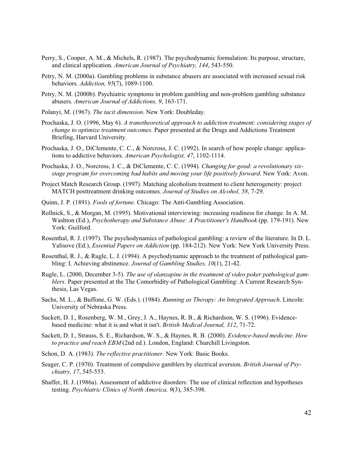- Perry, S., Cooper, A. M., & Michels, R. (1987). The psychodynamic formulation: Its purpose, structure, and clinical application. *American Journal of Psychiatry, 144*, 543-550.
- Petry, N. M. (2000a). Gambling problems in substance abusers are associated with increased sexual risk behaviors. *Addiction, 95*(7), 1089-1100.
- Petry, N. M. (2000b). Psychiatric symptoms in problem gambling and non-problem gambling substance abusers. *American Journal of Addictions, 9*, 163-171.
- Polanyi, M. (1967). *The tacit dimension*. New York: Doubleday.
- Prochaska, J. O. (1996, May 6). *A transtheoretical approach to addiction treatment: considering stages of change to optimize treatment outcomes.* Paper presented at the Drugs and Addictions Treatment Briefing, Harvard University.
- Prochaska, J. O., DiClemente, C. C., & Norcross, J. C. (1992). In search of how people change: applications to addictive behaviors. *American Psychologist, 47*, 1102-1114.
- Prochaska, J. O., Norcross, J. C., & DiClemente, C. C. (1994). *Changing for good: a revolutionary sixstage program for overcoming bad habits and moving your life positively forward*. New York: Avon.
- Project Match Research Group. (1997). Matching alcoholism treatment to client heterogeneity: project MATCH posttreatment drinking outcomes. *Journal of Studies on Alcohol, 58*, 7-29.
- Quinn, J. P. (1891). *Fools of fortune*. Chicago: The Anti-Gambling Association.
- Rollnick, S., & Morgan, M. (1995). Motivational interviewing: increasing readiness for change. In A. M. Washton (Ed.), *Psychotherapy and Substance Abuse: A Practitioner's Handbook* (pp. 179-191). New York: Guilford.
- Rosenthal, R. J. (1997). The psychodynamics of pathological gambling: a review of the literature. In D. L. Yalisove (Ed.), *Essential Papers on Addiction* (pp. 184-212). New York: New York University Press.
- Rosenthal, R. J., & Rugle, L. J. (1994). A psychodynamic approach to the treatment of pathological gambling: I. Achieving abstinence. *Journal of Gambling Studies, 10*(1), 21-42.
- Rugle, L. (2000, December 3-5). *The use of olanzapine in the treatment of video poker pathological gamblers.* Paper presented at the The Comorbidity of Pathological Gambling: A Current Research Synthesis, Las Vegas.
- Sachs, M. L., & Buffone, G. W. (Eds.). (1984). *Running as Therapy: An Integrated Approach*. Lincoln: University of Nebraska Press.
- Sackett, D. I., Rosenberg, W. M., Grey, J. A., Haynes, R. B., & Richardson, W. S. (1996). Evidencebased medicine: what it is and what it isn't. *British Medical Journal, 312*, 71-72.
- Sackett, D. I., Strauss, S. E., Richardson, W. S., & Haynes, R. B. (2000). *Evidence-based medicine. How to practice and reach EBM* (2nd ed.). London, England: Churchill Livingston.
- Schon, D. A. (1983). *The reflective practitioner*. New York: Basic Books.
- Seager, C. P. (1970). Treatment of compulsive gamblers by electrical aversion. *British Journal of Psychiatry, 17*, 545-553.
- Shaffer, H. J. (1986a). Assessment of addictive disorders: The use of clinical reflection and hypotheses testing. *Psychiatric Clinics of North America, 9*(3), 385-398.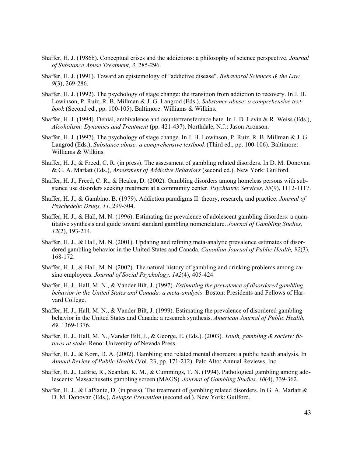- Shaffer, H. J. (1986b). Conceptual crises and the addictions: a philosophy of science perspective. *Journal of Substance Abuse Treatment, 3*, 285-296.
- Shaffer, H. J. (1991). Toward an epistemology of "addictive disease". *Behavioral Sciences & the Law, 9*(3), 269-286.
- Shaffer, H. J. (1992). The psychology of stage change: the transition from addiction to recovery. In J. H. Lowinson, P. Ruiz, R. B. Millman & J. G. Langrod (Eds.), *Substance abuse: a comprehensive textbook* (Second ed., pp. 100-105). Baltimore: Williams & Wilkins.
- Shaffer, H. J. (1994). Denial, ambivalence and countertransference hate. In J. D. Levin & R. Weiss (Eds.), *Alcoholism: Dynamics and Treatment* (pp. 421-437). Northdale, N.J.: Jason Aronson.
- Shaffer, H. J. (1997). The psychology of stage change. In J. H. Lowinson, P. Ruiz, R. B. Millman & J. G. Langrod (Eds.), *Substance abuse: a comprehensive textbook* (Third ed., pp. 100-106). Baltimore: Williams & Wilkins.
- Shaffer, H. J., & Freed, C. R. (in press). The assessment of gambling related disorders. In D. M. Donovan & G. A. Marlatt (Eds.), *Assessment of Addictive Behaviors* (second ed.). New York: Guilford.
- Shaffer, H. J., Freed, C. R., & Healea, D. (2002). Gambling disorders among homeless persons with substance use disorders seeking treatment at a community center. *Psychiatric Services, 55*(9), 1112-1117.
- Shaffer, H. J., & Gambino, B. (1979). Addiction paradigms II: theory, research, and practice. *Journal of Psychedelic Drugs, 11*, 299-304.
- Shaffer, H. J., & Hall, M. N. (1996). Estimating the prevalence of adolescent gambling disorders: a quantitative synthesis and guide toward standard gambling nomenclature. *Journal of Gambling Studies, 12*(2), 193-214.
- Shaffer, H. J., & Hall, M. N. (2001). Updating and refining meta-analytic prevalence estimates of disordered gambling behavior in the United States and Canada. *Canadian Journal of Public Health, 92*(3), 168-172.
- Shaffer, H. J., & Hall, M. N. (2002). The natural history of gambling and drinking problems among casino employees. *Journal of Social Psychology, 142*(4), 405-424.
- Shaffer, H. J., Hall, M. N., & Vander Bilt, J. (1997). *Estimating the prevalence of disordered gambling behavior in the United States and Canada: a meta-analysis*. Boston: Presidents and Fellows of Harvard College.
- Shaffer, H. J., Hall, M. N., & Vander Bilt, J. (1999). Estimating the prevalence of disordered gambling behavior in the United States and Canada: a research synthesis. *American Journal of Public Health, 89*, 1369-1376.
- Shaffer, H. J., Hall, M. N., Vander Bilt, J., & George, E. (Eds.). (2003). *Youth, gambling & society: futures at stake*. Reno: University of Nevada Press.
- Shaffer, H. J., & Korn, D. A. (2002). Gambling and related mental disorders: a public health analysis. In *Annual Review of Public Health* (Vol. 23, pp. 171-212). Palo Alto: Annual Reviews, Inc.
- Shaffer, H. J., LaBrie, R., Scanlan, K. M., & Cummings, T. N. (1994). Pathological gambling among adolescents: Massachusetts gambling screen (MAGS). *Journal of Gambling Studies, 10*(4), 339-362.
- Shaffer, H. J., & LaPlante, D. (in press). The treatment of gambling related disorders. In G. A. Marlatt & D. M. Donovan (Eds.), *Relapse Prevention* (second ed.). New York: Guilford.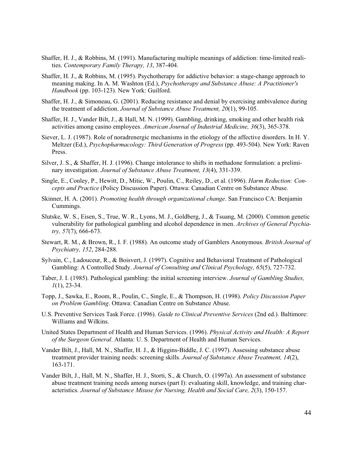- Shaffer, H. J., & Robbins, M. (1991). Manufacturing multiple meanings of addiction: time-limited realities. *Contemporary Family Therapy, 13*, 387-404.
- Shaffer, H. J., & Robbins, M. (1995). Psychotherapy for addictive behavior: a stage-change approach to meaning making. In A. M. Washton (Ed.), *Psychotherapy and Substance Abuse: A Practitioner's Handbook* (pp. 103-123). New York: Guilford.
- Shaffer, H. J., & Simoneau, G. (2001). Reducing resistance and denial by exercising ambivalence during the treatment of addiction. *Journal of Substance Abuse Treatment, 20*(1), 99-105.
- Shaffer, H. J., Vander Bilt, J., & Hall, M. N. (1999). Gambling, drinking, smoking and other health risk activities among casino employees. *American Journal of Industrial Medicine, 36*(3), 365-378.
- Siever, L. J. (1987). Role of noradrenergic mechanisms in the etiology of the affective disorders. In H. Y. Meltzer (Ed.), *Psychopharmacology: Third Generation of Progress* (pp. 493-504). New York: Raven Press.
- Silver, J. S., & Shaffer, H. J. (1996). Change intolerance to shifts in methadone formulation: a preliminary investigation. *Journal of Substance Abuse Treatment, 13*(4), 331-339.
- Single, E., Conley, P., Hewitt, D., Mitic, W., Poulin, C., Reiley, D., et al. (1996). *Harm Reduction: Concepts and Practice* (Policy Discussion Paper). Ottawa: Canadian Centre on Substance Abuse.
- Skinner, H. A. (2001). *Promoting health through organizational change*. San Francisco CA: Benjamin Cummings.
- Slutske, W. S., Eisen, S., True, W. R., Lyons, M. J., Goldberg, J., & Tsuang, M. (2000). Common genetic vulnerability for pathological gambling and alcohol dependence in men. *Archives of General Psychiatry, 57*(7), 666-673.
- Stewart, R. M., & Brown, R., I. F. (1988). An outcome study of Gamblers Anonymous. *British Journal of Psychiatry, 152*, 284-288.
- Sylvain, C., Ladouceur, R., & Boisvert, J. (1997). Cognitive and Behavioral Treatment of Pathological Gambling: A Controlled Study. *Journal of Consulting and Clinical Psychology, 65*(5), 727-732.
- Taber, J. I. (1985). Pathological gambling: the initial screening interview. *Journal of Gambling Studies, 1*(1), 23-34.
- Topp, J., Sawka, E., Room, R., Poulin, C., Single, E., & Thompson, H. (1998). *Policy Discussion Paper on Problem Gambling*. Ottawa: Canadian Centre on Substance Abuse.
- U.S. Preventive Services Task Force. (1996). *Guide to Clinical Preventive Services* (2nd ed.). Baltimore: Williams and Wilkins.
- United States Department of Health and Human Services. (1996). *Physical Activity and Health: A Report of the Surgeon General*. Atlanta: U. S. Department of Health and Human Services.
- Vander Bilt, J., Hall, M. N., Shaffer, H. J., & Higgins-Biddle, J. C. (1997). Assessing substance abuse treatment provider training needs: screening skills. *Journal of Substance Abuse Treatment, 14*(2), 163-171.
- Vander Bilt, J., Hall, M. N., Shaffer, H. J., Storti, S., & Church, O. (1997a). An assessment of substance abuse treatment training needs among nurses (part I): evaluating skill, knowledge, and training characteristics. *Journal of Substance Misuse for Nursing, Health and Social Care, 2*(3), 150-157.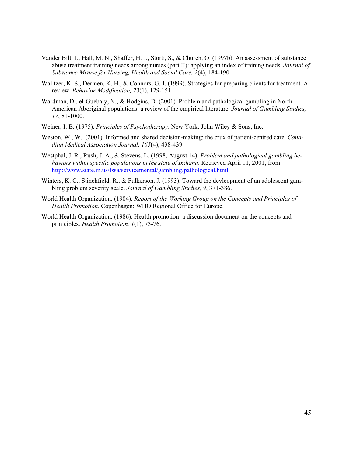- Vander Bilt, J., Hall, M. N., Shaffer, H. J., Storti, S., & Church, O. (1997b). An assessment of substance abuse treatment training needs among nurses (part II): applying an index of training needs. *Journal of Substance Misuse for Nursing, Health and Social Care, 2*(4), 184-190.
- Walitzer, K. S., Dermen, K. H., & Connors, G. J. (1999). Strategies for preparing clients for treatment. A review. *Behavior Modification, 23*(1), 129-151.
- Wardman, D., el-Guebaly, N., & Hodgins, D. (2001). Problem and pathological gambling in North American Aboriginal populations: a review of the empirical literature. *Journal of Gambling Studies, 17*, 81-1000.
- Weiner, I. B. (1975). *Principles of Psychotherapy*. New York: John Wiley & Sons, Inc.
- Weston, W., W,. (2001). Informed and shared decision-making: the crux of patient-centred care. *Canadian Medical Association Journal, 165*(4), 438-439.
- Westphal, J. R., Rush, J. A., & Stevens, L. (1998, August 14). *Problem and pathological gambling behaviors within specific populations in the state of Indiana*. Retrieved April 11, 2001, from http://www.state.in.us/fssa/servicemental/gambling/pathological.html
- Winters, K. C., Stinchfield, R., & Fulkerson, J. (1993). Toward the devleopment of an adolescent gambling problem severity scale. *Journal of Gambling Studies, 9*, 371-386.
- World Health Organization. (1984). *Report of the Working Group on the Concepts and Principles of Health Promotion.* Copenhagen: WHO Regional Office for Europe.
- World Health Organization. (1986). Health promotion: a discussion document on the concepts and priniciples. *Health Promotion, 1*(1), 73-76.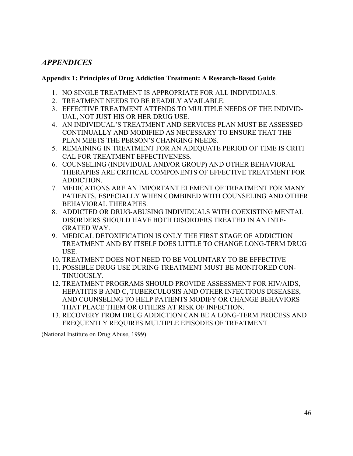# *APPENDICES*

# **Appendix 1: Principles of Drug Addiction Treatment: A Research-Based Guide**

- 1. NO SINGLE TREATMENT IS APPROPRIATE FOR ALL INDIVIDUALS.
- 2. TREATMENT NEEDS TO BE READILY AVAILABLE.
- 3. EFFECTIVE TREATMENT ATTENDS TO MULTIPLE NEEDS OF THE INDIVID-UAL, NOT JUST HIS OR HER DRUG USE.
- 4. AN INDIVIDUAL'S TREATMENT AND SERVICES PLAN MUST BE ASSESSED CONTINUALLY AND MODIFIED AS NECESSARY TO ENSURE THAT THE PLAN MEETS THE PERSON'S CHANGING NEEDS.
- 5. REMAINING IN TREATMENT FOR AN ADEQUATE PERIOD OF TIME IS CRITI-CAL FOR TREATMENT EFFECTIVENESS.
- 6. COUNSELING (INDIVIDUAL AND/OR GROUP) AND OTHER BEHAVIORAL THERAPIES ARE CRITICAL COMPONENTS OF EFFECTIVE TREATMENT FOR ADDICTION.
- 7. MEDICATIONS ARE AN IMPORTANT ELEMENT OF TREATMENT FOR MANY PATIENTS, ESPECIALLY WHEN COMBINED WITH COUNSELING AND OTHER BEHAVIORAL THERAPIES.
- 8. ADDICTED OR DRUG-ABUSING INDIVIDUALS WITH COEXISTING MENTAL DISORDERS SHOULD HAVE BOTH DISORDERS TREATED IN AN INTE-GRATED WAY.
- 9. MEDICAL DETOXIFICATION IS ONLY THE FIRST STAGE OF ADDICTION TREATMENT AND BY ITSELF DOES LITTLE TO CHANGE LONG-TERM DRUG USE.
- 10. TREATMENT DOES NOT NEED TO BE VOLUNTARY TO BE EFFECTIVE
- 11. POSSIBLE DRUG USE DURING TREATMENT MUST BE MONITORED CON-TINUOUSLY.
- 12. TREATMENT PROGRAMS SHOULD PROVIDE ASSESSMENT FOR HIV/AIDS, HEPATITIS B AND C, TUBERCULOSIS AND OTHER INFECTIOUS DISEASES, AND COUNSELING TO HELP PATIENTS MODIFY OR CHANGE BEHAVIORS THAT PLACE THEM OR OTHERS AT RISK OF INFECTION.
- 13. RECOVERY FROM DRUG ADDICTION CAN BE A LONG-TERM PROCESS AND FREQUENTLY REQUIRES MULTIPLE EPISODES OF TREATMENT.

(National Institute on Drug Abuse, 1999)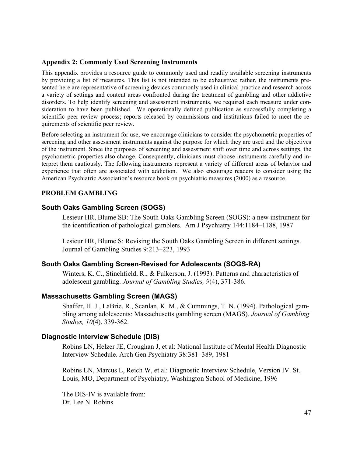#### **Appendix 2: Commonly Used Screening Instruments**

This appendix provides a resource guide to commonly used and readily available screening instruments by providing a list of measures. This list is not intended to be exhaustive; rather, the instruments presented here are representative of screening devices commonly used in clinical practice and research across a variety of settings and content areas confronted during the treatment of gambling and other addictive disorders. To help identify screening and assessment instruments, we required each measure under consideration to have been published. We operationally defined publication as successfully completing a scientific peer review process; reports released by commissions and institutions failed to meet the requirements of scientific peer review.

Before selecting an instrument for use, we encourage clinicians to consider the psychometric properties of screening and other assessment instruments against the purpose for which they are used and the objectives of the instrument. Since the purposes of screening and assessment shift over time and across settings, the psychometric properties also change. Consequently, clinicians must choose instruments carefully and interpret them cautiously. The following instruments represent a variety of different areas of behavior and experience that often are associated with addiction. We also encourage readers to consider using the American Psychiatric Association's resource book on psychiatric measures (2000) as a resource.

### **PROBLEM GAMBLING**

### **South Oaks Gambling Screen (SOGS)**

Lesieur HR, Blume SB: The South Oaks Gambling Screen (SOGS): a new instrument for the identification of pathological gamblers. Am J Psychiatry 144:1184–1188, 1987

Lesieur HR, Blume S: Revising the South Oaks Gambling Screen in different settings. Journal of Gambling Studies 9:213–223, 1993

### **South Oaks Gambling Screen-Revised for Adolescents (SOGS-RA)**

Winters, K. C., Stinchfield, R., & Fulkerson, J. (1993). Patterns and characteristics of adolescent gambling. *Journal of Gambling Studies, 9*(4), 371-386.

### **Massachusetts Gambling Screen (MAGS)**

Shaffer, H. J., LaBrie, R., Scanlan, K. M., & Cummings, T. N. (1994). Pathological gambling among adolescents: Massachusetts gambling screen (MAGS). *Journal of Gambling Studies, 10*(4), 339-362.

### **Diagnostic Interview Schedule (DIS)**

Robins LN, Helzer JE, Croughan J, et al: National Institute of Mental Health Diagnostic Interview Schedule. Arch Gen Psychiatry 38:381–389, 1981

Robins LN, Marcus L, Reich W, et al: Diagnostic Interview Schedule, Version IV. St. Louis, MO, Department of Psychiatry, Washington School of Medicine, 1996

The DIS-IV is available from: Dr. Lee N. Robins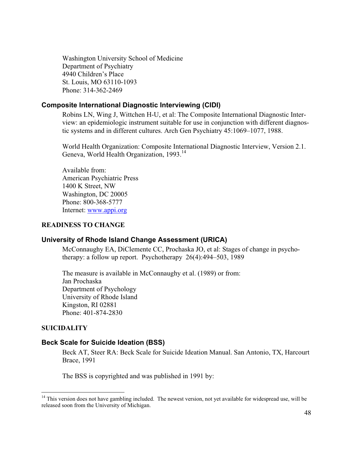Washington University School of Medicine Department of Psychiatry 4940 Children's Place St. Louis, MO 63110-1093 Phone: 314-362-2469

### **Composite International Diagnostic Interviewing (CIDI)**

Robins LN, Wing J, Wittchen H-U, et al: The Composite International Diagnostic Interview: an epidemiologic instrument suitable for use in conjunction with different diagnostic systems and in different cultures. Arch Gen Psychiatry 45:1069–1077, 1988.

World Health Organization: Composite International Diagnostic Interview, Version 2.1. Geneva, World Health Organization, 1993.<sup>14</sup>

Available from: American Psychiatric Press 1400 K Street, NW Washington, DC 20005 Phone: 800-368-5777 Internet: www.appi.org

### **READINESS TO CHANGE**

### **University of Rhode Island Change Assessment (URICA)**

McConnaughy EA, DiClemente CC, Prochaska JO, et al: Stages of change in psychotherapy: a follow up report. Psychotherapy 26(4):494–503, 1989

The measure is available in McConnaughy et al. (1989) or from: Jan Prochaska Department of Psychology University of Rhode Island Kingston, RI 02881 Phone: 401-874-2830

#### **SUICIDALITY**

### **Beck Scale for Suicide Ideation (BSS)**

Beck AT, Steer RA: Beck Scale for Suicide Ideation Manual. San Antonio, TX, Harcourt Brace, 1991

The BSS is copyrighted and was published in 1991 by:

<sup>&</sup>lt;sup>14</sup> This version does not have gambling included. The newest version, not yet available for widespread use, will be released soon from the University of Michigan.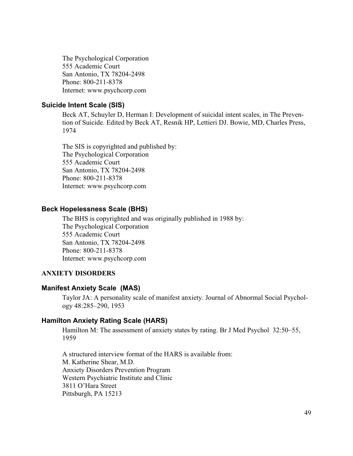The Psychological Corporation 555 Academic Court San Antonio, TX 78204-2498 Phone: 800-211-8378 Internet: www.psychcorp.com

### **Suicide Intent Scale (SIS)**

Beck AT, Schuyler D, Herman I: Development of suicidal intent scales, in The Prevention of Suicide. Edited by Beck AT, Resnik HP, Lettieri DJ. Bowie, MD, Charles Press, 1974

The SIS is copyrighted and published by: The Psychological Corporation 555 Academic Court San Antonio, TX 78204-2498 Phone: 800-211-8378 Internet: www.psychcorp.com

### **Beck Hopelessness Scale (BHS)**

The BHS is copyrighted and was originally published in 1988 by: The Psychological Corporation 555 Academic Court San Antonio, TX 78204-2498 Phone: 800-211-8378 Internet: www.psychcorp.com

### **ANXIETY DISORDERS**

#### **Manifest Anxiety Scale (MAS)**

Taylor JA: A personality scale of manifest anxiety. Journal of Abnormal Social Psychology 48:285–290, 1953

### **Hamilton Anxiety Rating Scale (HARS)**

Hamilton M: The assessment of anxiety states by rating. Br J Med Psychol 32:50–55, 1959

A structured interview format of the HARS is available from: M. Katherine Shear, M.D. Anxiety Disorders Prevention Program Western Psychiatric Institute and Clinic 3811 O'Hara Street Pittsburgh, PA 15213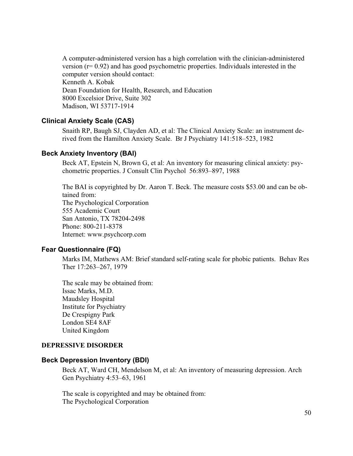A computer-administered version has a high correlation with the clinician-administered version  $(r= 0.92)$  and has good psychometric properties. Individuals interested in the computer version should contact: Kenneth A. Kobak Dean Foundation for Health, Research, and Education 8000 Excelsior Drive, Suite 302 Madison, WI 53717-1914

# **Clinical Anxiety Scale (CAS)**

Snaith RP, Baugh SJ, Clayden AD, et al: The Clinical Anxiety Scale: an instrument derived from the Hamilton Anxiety Scale. Br J Psychiatry 141:518–523, 1982

### **Beck Anxiety Inventory (BAI)**

Beck AT, Epstein N, Brown G, et al: An inventory for measuring clinical anxiety: psychometric properties. J Consult Clin Psychol 56:893–897, 1988

The BAI is copyrighted by Dr. Aaron T. Beck. The measure costs \$53.00 and can be obtained from: The Psychological Corporation 555 Academic Court San Antonio, TX 78204-2498 Phone: 800-211-8378 Internet: www.psychcorp.com

#### **Fear Questionnaire (FQ)**

Marks IM, Mathews AM: Brief standard self-rating scale for phobic patients. Behav Res Ther 17:263–267, 1979

The scale may be obtained from: Issac Marks, M.D. Maudsley Hospital Institute for Psychiatry De Crespigny Park London SE4 8AF United Kingdom

#### **DEPRESSIVE DISORDER**

### **Beck Depression Inventory (BDI)**

Beck AT, Ward CH, Mendelson M, et al: An inventory of measuring depression. Arch Gen Psychiatry 4:53–63, 1961

The scale is copyrighted and may be obtained from: The Psychological Corporation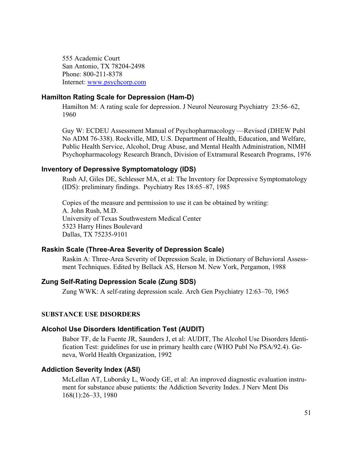555 Academic Court San Antonio, TX 78204-2498 Phone: 800-211-8378 Internet: www.psychcorp.com

### **Hamilton Rating Scale for Depression (Ham-D)**

Hamilton M: A rating scale for depression. J Neurol Neurosurg Psychiatry 23:56–62, 1960

Guy W: ECDEU Assessment Manual of Psychopharmacology —Revised (DHEW Publ No ADM 76-338). Rockville, MD, U.S. Department of Health, Education, and Welfare, Public Health Service, Alcohol, Drug Abuse, and Mental Health Administration, NIMH Psychopharmacology Research Branch, Division of Extramural Research Programs, 1976

### **Inventory of Depressive Symptomatology (IDS)**

Rush AJ, Giles DE, Schlesser MA, et al: The Inventory for Depressive Symptomatology (IDS): preliminary findings. Psychiatry Res 18:65–87, 1985

Copies of the measure and permission to use it can be obtained by writing: A. John Rush, M.D. University of Texas Southwestern Medical Center 5323 Harry Hines Boulevard Dallas, TX 75235-9101

### **Raskin Scale (Three-Area Severity of Depression Scale)**

Raskin A: Three-Area Severity of Depression Scale, in Dictionary of Behavioral Assessment Techniques. Edited by Bellack AS, Herson M. New York, Pergamon, 1988

## **Zung Self-Rating Depression Scale (Zung SDS)**

Zung WWK: A self-rating depression scale. Arch Gen Psychiatry 12:63–70, 1965

### **SUBSTANCE USE DISORDERS**

### **Alcohol Use Disorders Identification Test (AUDIT)**

Babor TF, de la Fuente JR, Saunders J, et al: AUDIT, The Alcohol Use Disorders Identification Test: guidelines for use in primary health care (WHO Publ No PSA/92.4). Geneva, World Health Organization, 1992

#### **Addiction Severity Index (ASI)**

McLellan AT, Luborsky L, Woody GE, et al: An improved diagnostic evaluation instrument for substance abuse patients: the Addiction Severity Index. J Nerv Ment Dis 168(1):26–33, 1980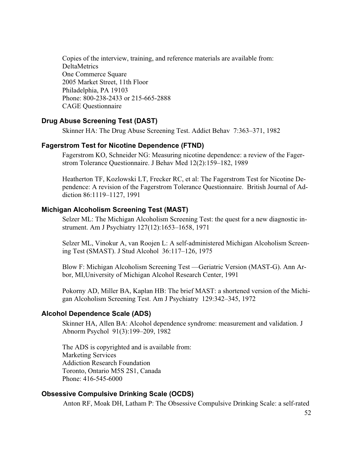Copies of the interview, training, and reference materials are available from: DeltaMetrics One Commerce Square 2005 Market Street, 11th Floor Philadelphia, PA 19103 Phone: 800-238-2433 or 215-665-2888 CAGE Questionnaire

# **Drug Abuse Screening Test (DAST)**

Skinner HA: The Drug Abuse Screening Test. Addict Behav 7:363–371, 1982

#### **Fagerstrom Test for Nicotine Dependence (FTND)**

Fagerstrom KO, Schneider NG: Measuring nicotine dependence: a review of the Fagerstrom Tolerance Questionnaire. J Behav Med 12(2):159–182, 1989

Heatherton TF, Kozlowski LT, Frecker RC, et al: The Fagerstrom Test for Nicotine Dependence: A revision of the Fagerstrom Tolerance Questionnaire. British Journal of Addiction 86:1119–1127, 1991

### **Michigan Alcoholism Screening Test (MAST)**

Selzer ML: The Michigan Alcoholism Screening Test: the quest for a new diagnostic instrument. Am J Psychiatry 127(12):1653–1658, 1971

Selzer ML, Vinokur A, van Roojen L: A self-administered Michigan Alcoholism Screening Test (SMAST). J Stud Alcohol 36:117–126, 1975

Blow F: Michigan Alcoholism Screening Test —Geriatric Version (MAST-G). Ann Arbor, MI,University of Michigan Alcohol Research Center, 1991

Pokorny AD, Miller BA, Kaplan HB: The brief MAST: a shortened version of the Michigan Alcoholism Screening Test. Am J Psychiatry 129:342–345, 1972

### **Alcohol Dependence Scale (ADS)**

Skinner HA, Allen BA: Alcohol dependence syndrome: measurement and validation. J Abnorm Psychol 91(3):199–209, 1982

The ADS is copyrighted and is available from: Marketing Services Addiction Research Foundation Toronto, Ontario M5S 2S1, Canada Phone: 416-545-6000

#### **Obsessive Compulsive Drinking Scale (OCDS)**

Anton RF, Moak DH, Latham P: The Obsessive Compulsive Drinking Scale: a self-rated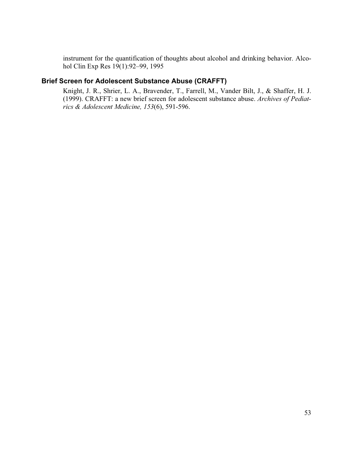instrument for the quantification of thoughts about alcohol and drinking behavior. Alcohol Clin Exp Res 19(1):92–99, 1995

# **Brief Screen for Adolescent Substance Abuse (CRAFFT)**

Knight, J. R., Shrier, L. A., Bravender, T., Farrell, M., Vander Bilt, J., & Shaffer, H. J. (1999). CRAFFT: a new brief screen for adolescent substance abuse. *Archives of Pediatrics & Adolescent Medicine, 153*(6), 591-596.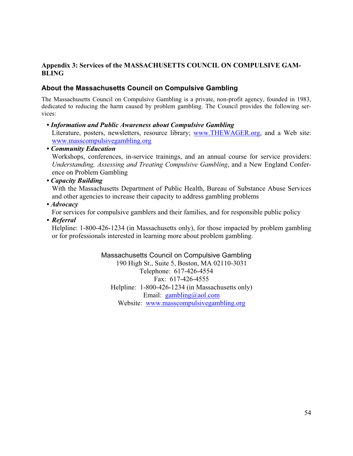# **Appendix 3: Services of the MASSACHUSETTS COUNCIL ON COMPULSIVE GAM-BLING**

# **About the Massachusetts Council on Compulsive Gambling**

The Massachusetts Council on Compulsive Gambling is a private, non-profit agency, founded in 1983, dedicated to reducing the harm caused by problem gambling. The Council provides the following services:

### *• Information and Public Awareness about Compulsive Gambling*

 Literature, posters, newsletters, resource library; www.THEWAGER.org, and a Web site: www.masscompulsivegambling.org

### *• Community Education*

 Workshops, conferences, in-service trainings, and an annual course for service providers: *Understanding, Assessing and Treating Compulsive Gambling*, and a New England Conference on Problem Gambling

### *• Capacity Building*

 With the Massachusetts Department of Public Health, Bureau of Substance Abuse Services and other agencies to increase their capacity to address gambling problems

### *• Advocacy*

For services for compulsive gamblers and their families, and for responsible public policy

*• Referral* 

Helpline: 1-800-426-1234 (in Massachusetts only), for those impacted by problem gambling or for professionals interested in learning more about problem gambling.

> Massachusetts Council on Compulsive Gambling 190 High St., Suite 5, Boston, MA 02110-3031 Telephone: 617-426-4554 Fax: 617-426-4555 Helpline: 1-800-426-1234 (in Massachusetts only) Email: gambling@aol.com Website: www.masscompulsivegambling.org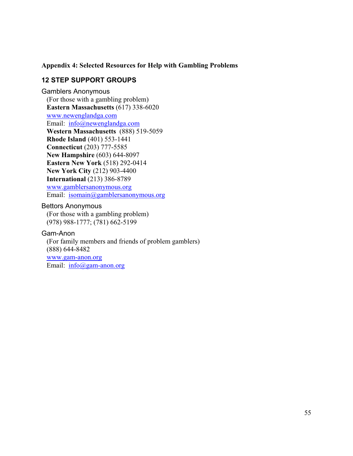### **Appendix 4: Selected Resources for Help with Gambling Problems**

# **12 STEP SUPPORT GROUPS**

Gamblers Anonymous (For those with a gambling problem) **Eastern Massachusetts** (617) 338-6020 www.newenglandga.com Email: info@newenglandga.com **Western Massachusetts** (888) 519-5059 **Rhode Island** (401) 553-1441 **Connecticut** (203) 777-5585 **New Hampshire** (603) 644-8097 **Eastern New York** (518) 292-0414 **New York City** (212) 903-4400 **International** (213) 386-8789 www.gamblersanonymous.org Email: isomain@gamblersanonymous.org

### Bettors Anonymous

(For those with a gambling problem) (978) 988-1777; (781) 662-5199

### Gam-Anon

(For family members and friends of problem gamblers) (888) 644-8482 www.gam-anon.org Email: info@gam-anon.org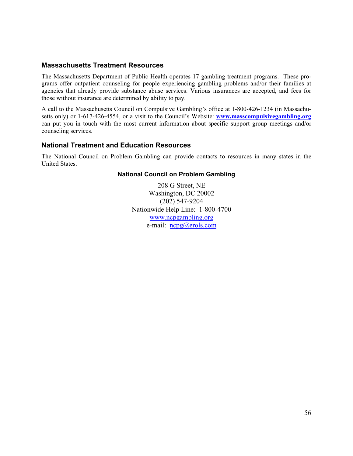### **Massachusetts Treatment Resources**

The Massachusetts Department of Public Health operates 17 gambling treatment programs. These programs offer outpatient counseling for people experiencing gambling problems and/or their families at agencies that already provide substance abuse services. Various insurances are accepted, and fees for those without insurance are determined by ability to pay.

A call to the Massachusetts Council on Compulsive Gambling's office at 1-800-426-1234 (in Massachusetts only) or 1-617-426-4554, or a visit to the Council's Website: **www.masscompulsivegambling.org** can put you in touch with the most current information about specific support group meetings and/or counseling services.

### **National Treatment and Education Resources**

The National Council on Problem Gambling can provide contacts to resources in many states in the United States.

### **National Council on Problem Gambling**

208 G Street, NE Washington, DC 20002 (202) 547-9204 Nationwide Help Line: 1-800-4700 www.ncpgambling.org e-mail: ncpg@erols.com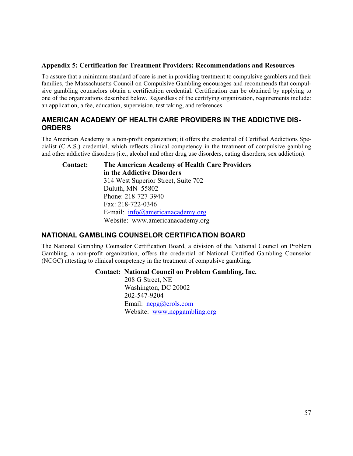#### **Appendix 5: Certification for Treatment Providers: Recommendations and Resources**

To assure that a minimum standard of care is met in providing treatment to compulsive gamblers and their families, the Massachusetts Council on Compulsive Gambling encourages and recommends that compulsive gambling counselors obtain a certification credential. Certification can be obtained by applying to one of the organizations described below. Regardless of the certifying organization, requirements include: an application, a fee, education, supervision, test taking, and references.

# **AMERICAN ACADEMY OF HEALTH CARE PROVIDERS IN THE ADDICTIVE DIS-ORDERS**

The American Academy is a non-profit organization; it offers the credential of Certified Addictions Specialist (C.A.S.) credential, which reflects clinical competency in the treatment of compulsive gambling and other addictive disorders (i.e., alcohol and other drug use disorders, eating disorders, sex addiction).

 **Contact: The American Academy of Health Care Providers in the Addictive Disorders** 314 West Superior Street, Suite 702 Duluth, MN 55802 Phone: 218-727-3940 Fax: 218-722-0346 E-mail: info@americanacademy.org Website: www.americanacademy.org

# **NATIONAL GAMBLING COUNSELOR CERTIFICATION BOARD**

The National Gambling Counselor Certification Board, a division of the National Council on Problem Gambling, a non-profit organization, offers the credential of National Certified Gambling Counselor (NCGC) attesting to clinical competency in the treatment of compulsive gambling.

#### **Contact: National Council on Problem Gambling, Inc.**

208 G Street, NE Washington, DC 20002 202-547-9204 Email: ncpg@erols.com Website: www.ncpgambling.org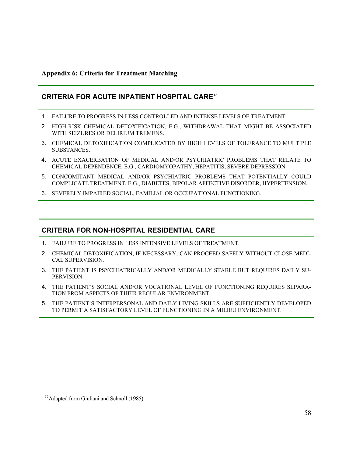### **Appendix 6: Criteria for Treatment Matching**

### **CRITERIA FOR ACUTE INPATIENT HOSPITAL CARE***<sup>15</sup>*

- 1. FAILURE TO PROGRESS IN LESS CONTROLLED AND INTENSE LEVELS OF TREATMENT.
- 2. HIGH-RISK CHEMICAL DETOXIFICATION, E.G., WITHDRAWAL THAT MIGHT BE ASSOCIATED WITH SEIZURES OR DELIRIUM TREMENS.
- 3. CHEMICAL DETOXIFICATION COMPLICATED BY HIGH LEVELS OF TOLERANCE TO MULTIPLE SUBSTANCES.
- 4. ACUTE EXACERBATION OF MEDICAL AND/OR PSYCHIATRIC PROBLEMS THAT RELATE TO CHEMICAL DEPENDENCE, E.G., CARDIOMYOPATHY, HEPATITIS, SEVERE DEPRESSION.
- 5. CONCOMITANT MEDICAL AND/OR PSYCHIATRIC PROBLEMS THAT POTENTIALLY COULD COMPLICATE TREATMENT, E.G., DIABETES, BIPOLAR AFFECTIVE DISORDER, HYPERTENSION.
- 6. SEVERELY IMPAIRED SOCIAL, FAMILIAL OR OCCUPATIONAL FUNCTIONING.

### **CRITERIA FOR NON-HOSPITAL RESIDENTIAL CARE**

- 1. FAILURE TO PROGRESS IN LESS INTENSIVE LEVELS OF TREATMENT.
- 2. CHEMICAL DETOXIFICATION, IF NECESSARY, CAN PROCEED SAFELY WITHOUT CLOSE MEDI-CAL SUPERVISION.
- 3. THE PATIENT IS PSYCHIATRICALLY AND/OR MEDICALLY STABLE BUT REQUIRES DAILY SU-PERVISION.
- 4. THE PATIENT'S SOCIAL AND/OR VOCATIONAL LEVEL OF FUNCTIONING REQUIRES SEPARA-TION FROM ASPECTS OF THEIR REGULAR ENVIRONMENT.
- 5. THE PATIENT'S INTERPERSONAL AND DAILY LIVING SKILLS ARE SUFFICIENTLY DEVELOPED TO PERMIT A SATISFACTORY LEVEL OF FUNCTIONING IN A MILIEU ENVIRONMENT.

<sup>&</sup>lt;sup>15</sup>Adapted from Giuliani and Schnoll (1985).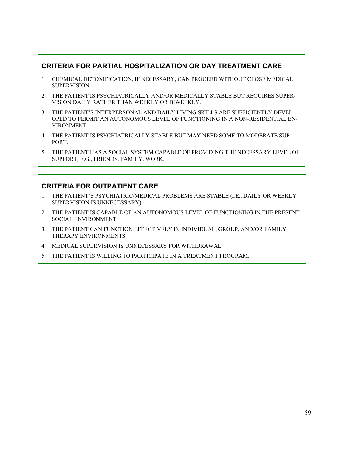# **CRITERIA FOR PARTIAL HOSPITALIZATION OR DAY TREATMENT CARE**

- 1. CHEMICAL DETOXIFICATION, IF NECESSARY, CAN PROCEED WITHOUT CLOSE MEDICAL SUPERVISION.
- 2. THE PATIENT IS PSYCHIATRICALLY AND/OR MEDICALLY STABLE BUT REQUIRES SUPER-VISION DAILY RATHER THAN WEEKLY OR BIWEEKLY.
- 3. THE PATIENT'S INTERPERSONAL AND DAILY LIVING SKILLS ARE SUFFICIENTLY DEVEL-OPED TO PERMIT AN AUTONOMOUS LEVEL OF FUNCTIONING IN A NON-RESIDENTIAL EN-VIRONMENT.
- 4. THE PATIENT IS PSYCHIATRICALLY STABLE BUT MAY NEED SOME TO MODERATE SUP-PORT.
- 5. THE PATIENT HAS A SOCIAL SYSTEM CAPABLE OF PROVIDING THE NECESSARY LEVEL OF SUPPORT, E.G., FRIENDS, FAMILY, WORK.

# **CRITERIA FOR OUTPATIENT CARE**

- 1. THE PATIENT'S PSYCHIATRIC/MEDICAL PROBLEMS ARE STABLE (I.E., DAILY OR WEEKLY SUPERVISION IS UNNECESSARY).
- 2. THE PATIENT IS CAPABLE OF AN AUTONOMOUS LEVEL OF FUNCTIONING IN THE PRESENT SOCIAL ENVIRONMENT.
- 3. THE PATIENT CAN FUNCTION EFFECTIVELY IN INDIVIDUAL, GROUP, AND/OR FAMILY THERAPY ENVIRONMENTS.
- 4. MEDICAL SUPERVISION IS UNNECESSARY FOR WITHDRAWAL.
- 5. THE PATIENT IS WILLING TO PARTICIPATE IN A TREATMENT PROGRAM.